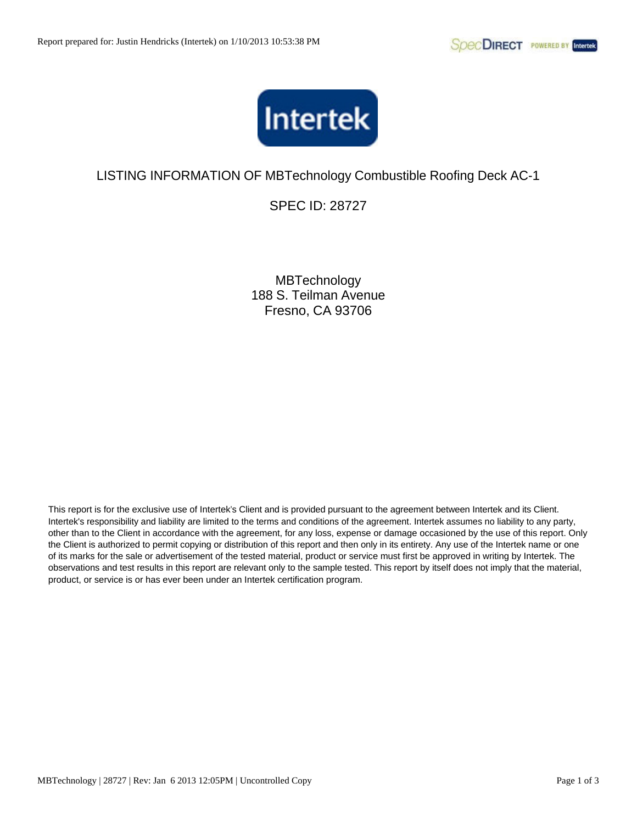

SPEC ID: 28727

**MBTechnology** 188 S. Teilman Avenue Fresno, CA 93706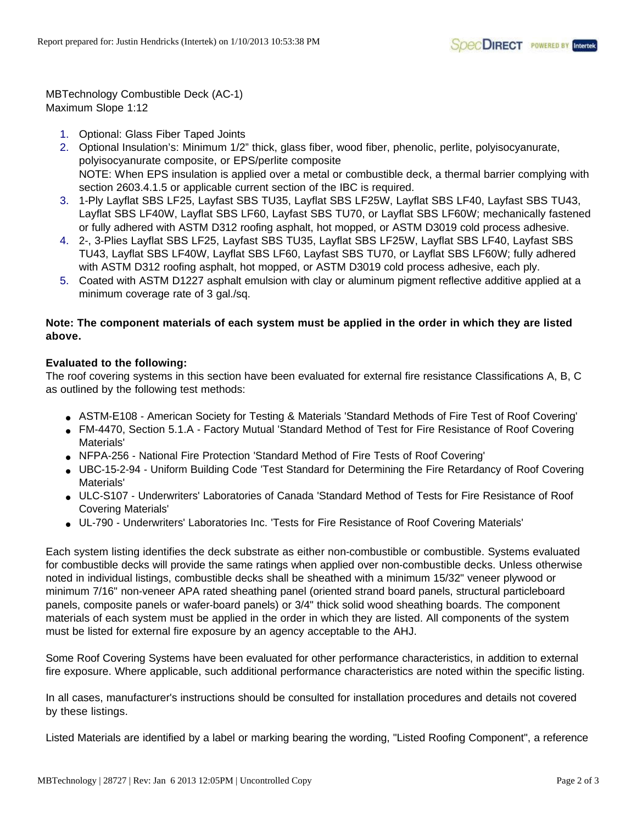MBTechnology Combustible Deck (AC-1) Maximum Slope 1:12

- 1. Optional: Glass Fiber Taped Joints
- 2. Optional Insulation's: Minimum 1/2" thick, glass fiber, wood fiber, phenolic, perlite, polyisocyanurate, polyisocyanurate composite, or EPS/perlite composite NOTE: When EPS insulation is applied over a metal or combustible deck, a thermal barrier complying with section 2603.4.1.5 or applicable current section of the IBC is required.
- 3. 1-Ply Layflat SBS LF25, Layfast SBS TU35, Layflat SBS LF25W, Layflat SBS LF40, Layfast SBS TU43, Layflat SBS LF40W, Layflat SBS LF60, Layfast SBS TU70, or Layflat SBS LF60W; mechanically fastened or fully adhered with ASTM D312 roofing asphalt, hot mopped, or ASTM D3019 cold process adhesive.
- 4. 2-, 3-Plies Layflat SBS LF25, Layfast SBS TU35, Layflat SBS LF25W, Layflat SBS LF40, Layfast SBS TU43, Layflat SBS LF40W, Layflat SBS LF60, Layfast SBS TU70, or Layflat SBS LF60W; fully adhered with ASTM D312 roofing asphalt, hot mopped, or ASTM D3019 cold process adhesive, each ply.
- 5. Coated with ASTM D1227 asphalt emulsion with clay or aluminum pigment reflective additive applied at a minimum coverage rate of 3 gal./sq.

## **Note: The component materials of each system must be applied in the order in which they are listed above.**

## **Evaluated to the following:**

The roof covering systems in this section have been evaluated for external fire resistance Classifications A, B, C as outlined by the following test methods:

- ASTM-E108 American Society for Testing & Materials 'Standard Methods of Fire Test of Roof Covering'
- FM-4470, Section 5.1.A Factory Mutual 'Standard Method of Test for Fire Resistance of Roof Covering Materials'
- NFPA-256 National Fire Protection 'Standard Method of Fire Tests of Roof Covering'
- UBC-15-2-94 Uniform Building Code 'Test Standard for Determining the Fire Retardancy of Roof Covering Materials'
- ULC-S107 Underwriters' Laboratories of Canada 'Standard Method of Tests for Fire Resistance of Roof Covering Materials'
- UL-790 Underwriters' Laboratories Inc. 'Tests for Fire Resistance of Roof Covering Materials'

Each system listing identifies the deck substrate as either non-combustible or combustible. Systems evaluated for combustible decks will provide the same ratings when applied over non-combustible decks. Unless otherwise noted in individual listings, combustible decks shall be sheathed with a minimum 15/32" veneer plywood or minimum 7/16" non-veneer APA rated sheathing panel (oriented strand board panels, structural particleboard panels, composite panels or wafer-board panels) or 3/4" thick solid wood sheathing boards. The component materials of each system must be applied in the order in which they are listed. All components of the system must be listed for external fire exposure by an agency acceptable to the AHJ.

Some Roof Covering Systems have been evaluated for other performance characteristics, in addition to external fire exposure. Where applicable, such additional performance characteristics are noted within the specific listing.

In all cases, manufacturer's instructions should be consulted for installation procedures and details not covered by these listings.

Listed Materials are identified by a label or marking bearing the wording, "Listed Roofing Component", a reference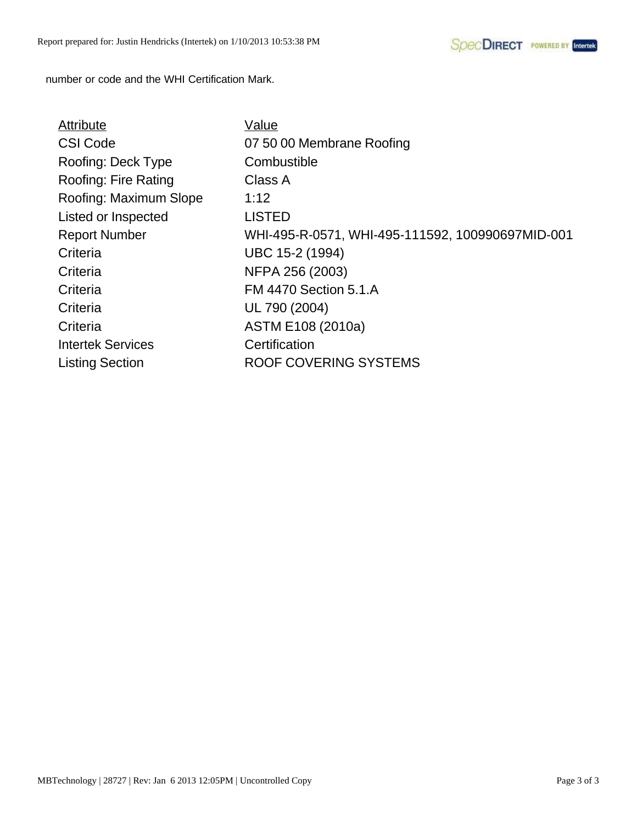number or code and the WHI Certification Mark.

| Attribute                | Value                                            |
|--------------------------|--------------------------------------------------|
| <b>CSI Code</b>          | 07 50 00 Membrane Roofing                        |
| Roofing: Deck Type       | Combustible                                      |
| Roofing: Fire Rating     | Class A                                          |
| Roofing: Maximum Slope   | 1:12                                             |
| Listed or Inspected      | <b>LISTED</b>                                    |
| <b>Report Number</b>     | WHI-495-R-0571, WHI-495-111592, 100990697MID-001 |
| Criteria                 | UBC 15-2 (1994)                                  |
| Criteria                 | NFPA 256 (2003)                                  |
| Criteria                 | <b>FM 4470 Section 5.1.A</b>                     |
| Criteria                 | UL 790 (2004)                                    |
| Criteria                 | ASTM E108 (2010a)                                |
| <b>Intertek Services</b> | Certification                                    |
| <b>Listing Section</b>   | ROOF COVERING SYSTEMS                            |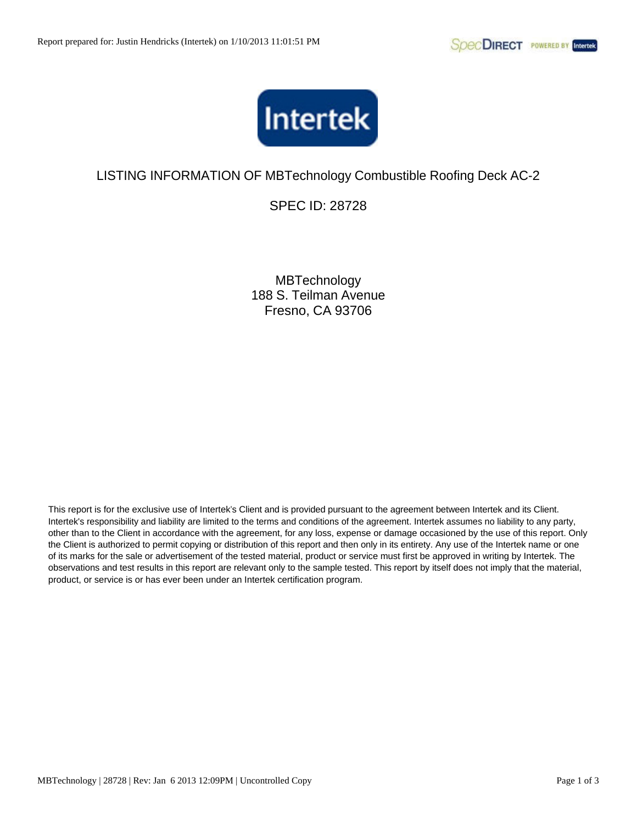

SPEC ID: 28728

**MBTechnology** 188 S. Teilman Avenue Fresno, CA 93706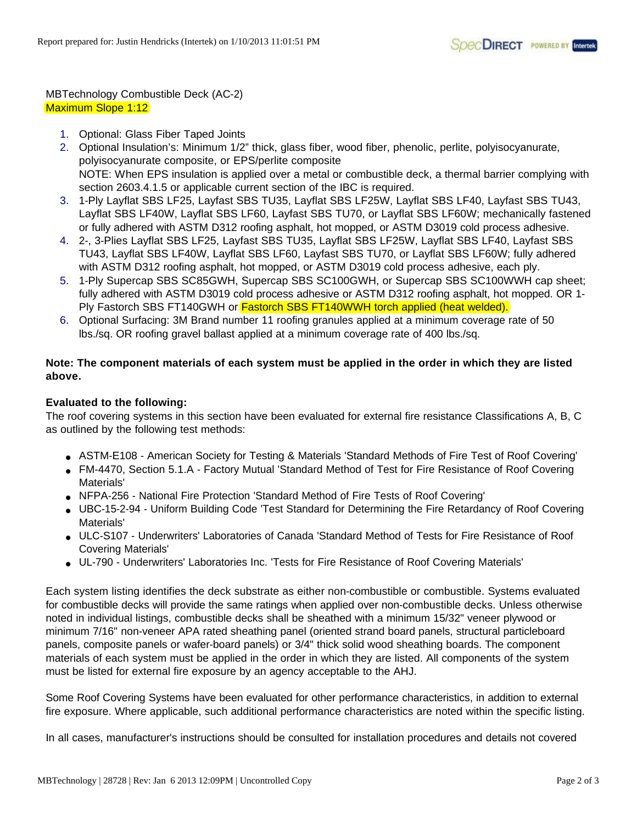## MBTechnology Combustible Deck (AC-2) Maximum Slope 1:12

- 1. Optional: Glass Fiber Taped Joints
- 2. Optional Insulation's: Minimum 1/2" thick, glass fiber, wood fiber, phenolic, perlite, polyisocyanurate, polyisocyanurate composite, or EPS/perlite composite NOTE: When EPS insulation is applied over a metal or combustible deck, a thermal barrier complying with section 2603.4.1.5 or applicable current section of the IBC is required.
- 3. 1-Ply Layflat SBS LF25, Layfast SBS TU35, Layflat SBS LF25W, Layflat SBS LF40, Layfast SBS TU43, Layflat SBS LF40W, Layflat SBS LF60, Layfast SBS TU70, or Layflat SBS LF60W; mechanically fastened or fully adhered with ASTM D312 roofing asphalt, hot mopped, or ASTM D3019 cold process adhesive.
- 4. 2-, 3-Plies Layflat SBS LF25, Layfast SBS TU35, Layflat SBS LF25W, Layflat SBS LF40, Layfast SBS TU43, Layflat SBS LF40W, Layflat SBS LF60, Layfast SBS TU70, or Layflat SBS LF60W; fully adhered with ASTM D312 roofing asphalt, hot mopped, or ASTM D3019 cold process adhesive, each ply.
- 5. 1-Ply Supercap SBS SC85GWH, Supercap SBS SC100GWH, or Supercap SBS SC100WWH cap sheet; fully adhered with ASTM D3019 cold process adhesive or ASTM D312 roofing asphalt, hot mopped. OR 1- Ply Fastorch SBS FT140GWH or **Fastorch SBS FT140WWH torch applied (heat welded).**
- 6. Optional Surfacing: 3M Brand number 11 roofing granules applied at a minimum coverage rate of 50 lbs./sq. OR roofing gravel ballast applied at a minimum coverage rate of 400 lbs./sq.

## **Note: The component materials of each system must be applied in the order in which they are listed above.**

## **Evaluated to the following:**

The roof covering systems in this section have been evaluated for external fire resistance Classifications A, B, C as outlined by the following test methods:

- ASTM-E108 American Society for Testing & Materials 'Standard Methods of Fire Test of Roof Covering'
- FM-4470, Section 5.1.A Factory Mutual 'Standard Method of Test for Fire Resistance of Roof Covering Materials'
- NFPA-256 National Fire Protection 'Standard Method of Fire Tests of Roof Covering'
- UBC-15-2-94 Uniform Building Code 'Test Standard for Determining the Fire Retardancy of Roof Covering Materials'
- ULC-S107 Underwriters' Laboratories of Canada 'Standard Method of Tests for Fire Resistance of Roof Covering Materials'
- UL-790 Underwriters' Laboratories Inc. 'Tests for Fire Resistance of Roof Covering Materials'

Each system listing identifies the deck substrate as either non-combustible or combustible. Systems evaluated for combustible decks will provide the same ratings when applied over non-combustible decks. Unless otherwise noted in individual listings, combustible decks shall be sheathed with a minimum 15/32" veneer plywood or minimum 7/16" non-veneer APA rated sheathing panel (oriented strand board panels, structural particleboard panels, composite panels or wafer-board panels) or 3/4" thick solid wood sheathing boards. The component materials of each system must be applied in the order in which they are listed. All components of the system must be listed for external fire exposure by an agency acceptable to the AHJ.

Some Roof Covering Systems have been evaluated for other performance characteristics, in addition to external fire exposure. Where applicable, such additional performance characteristics are noted within the specific listing.

In all cases, manufacturer's instructions should be consulted for installation procedures and details not covered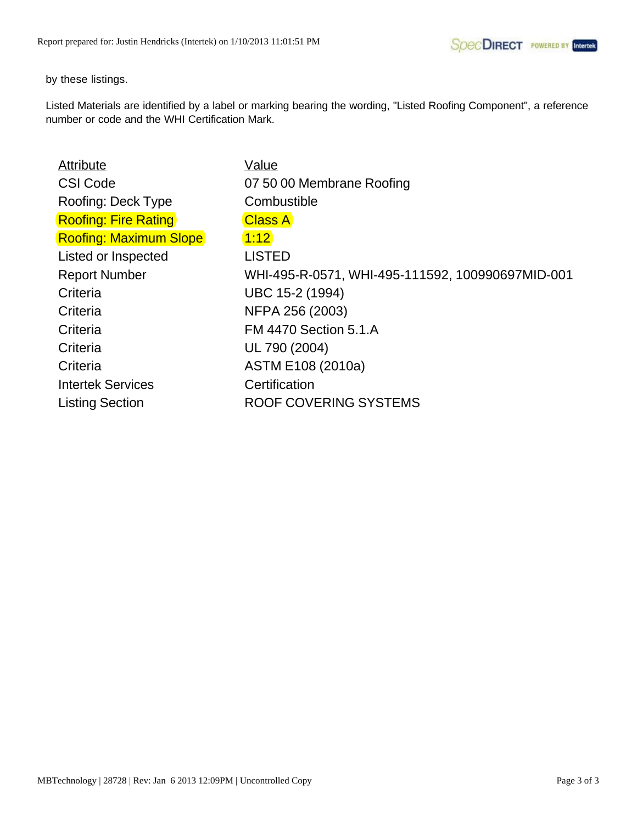by these listings.

| <b>Attribute</b>              | Value                                            |
|-------------------------------|--------------------------------------------------|
| <b>CSI Code</b>               | 07 50 00 Membrane Roofing                        |
| Roofing: Deck Type            | Combustible                                      |
| <b>Roofing: Fire Rating</b>   | <b>Class A</b>                                   |
| <b>Roofing: Maximum Slope</b> | 1:12                                             |
| Listed or Inspected           | <b>LISTED</b>                                    |
| <b>Report Number</b>          | WHI-495-R-0571, WHI-495-111592, 100990697MID-001 |
| Criteria                      | UBC 15-2 (1994)                                  |
| Criteria                      | NFPA 256 (2003)                                  |
| Criteria                      | <b>FM 4470 Section 5.1.A</b>                     |
| Criteria                      | UL 790 (2004)                                    |
| Criteria                      | ASTM E108 (2010a)                                |
| <b>Intertek Services</b>      | Certification                                    |
| <b>Listing Section</b>        | <b>ROOF COVERING SYSTEMS</b>                     |
|                               |                                                  |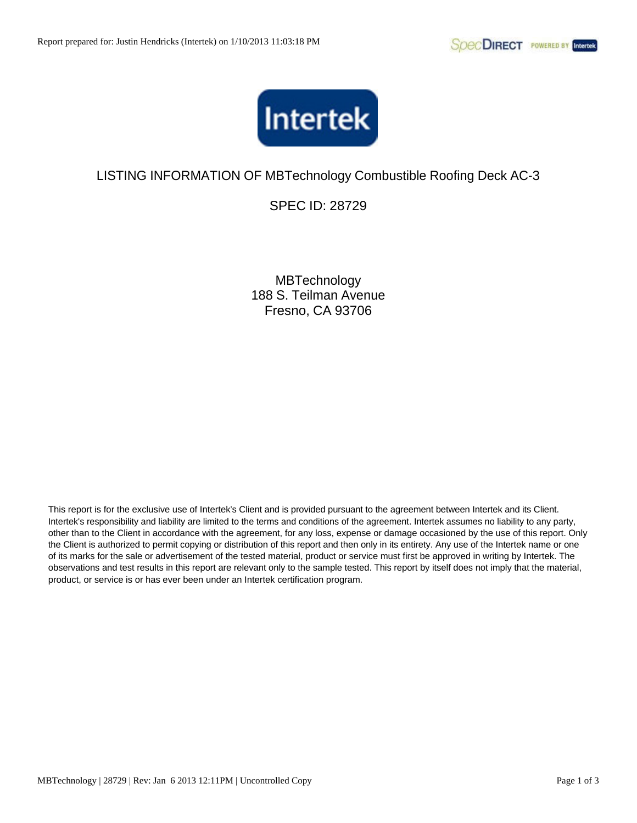

SPEC ID: 28729

**MBTechnology** 188 S. Teilman Avenue Fresno, CA 93706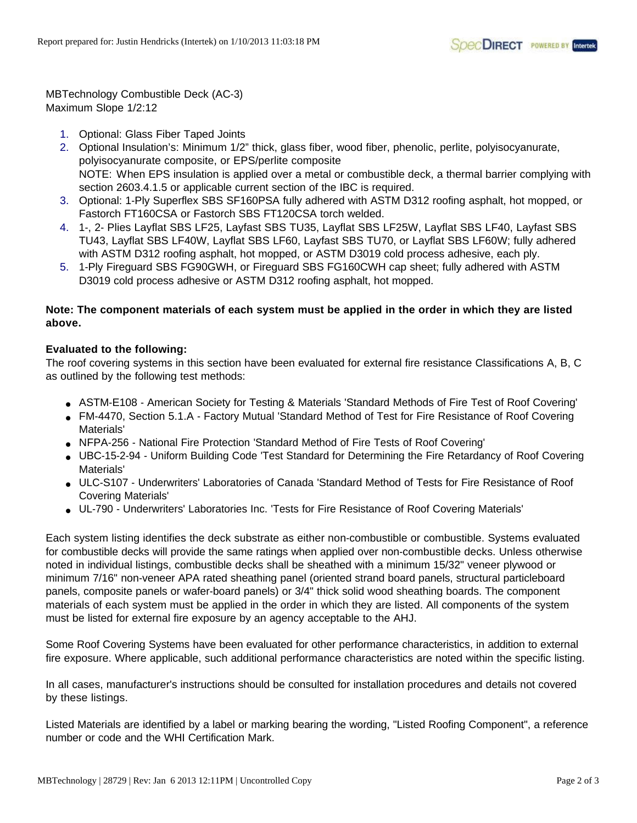MBTechnology Combustible Deck (AC-3) Maximum Slope 1/2:12

- 1. Optional: Glass Fiber Taped Joints
- 2. Optional Insulation's: Minimum 1/2" thick, glass fiber, wood fiber, phenolic, perlite, polyisocyanurate, polyisocyanurate composite, or EPS/perlite composite NOTE: When EPS insulation is applied over a metal or combustible deck, a thermal barrier complying with section 2603.4.1.5 or applicable current section of the IBC is required.
- 3. Optional: 1-Ply Superflex SBS SF160PSA fully adhered with ASTM D312 roofing asphalt, hot mopped, or Fastorch FT160CSA or Fastorch SBS FT120CSA torch welded.
- 4. 1-, 2- Plies Layflat SBS LF25, Layfast SBS TU35, Layflat SBS LF25W, Layflat SBS LF40, Layfast SBS TU43, Layflat SBS LF40W, Layflat SBS LF60, Layfast SBS TU70, or Layflat SBS LF60W; fully adhered with ASTM D312 roofing asphalt, hot mopped, or ASTM D3019 cold process adhesive, each ply.
- 5. 1-Ply Fireguard SBS FG90GWH, or Fireguard SBS FG160CWH cap sheet; fully adhered with ASTM D3019 cold process adhesive or ASTM D312 roofing asphalt, hot mopped.

## **Note: The component materials of each system must be applied in the order in which they are listed above.**

## **Evaluated to the following:**

The roof covering systems in this section have been evaluated for external fire resistance Classifications A, B, C as outlined by the following test methods:

- ASTM-E108 American Society for Testing & Materials 'Standard Methods of Fire Test of Roof Covering'
- FM-4470, Section 5.1.A Factory Mutual 'Standard Method of Test for Fire Resistance of Roof Covering Materials'
- NFPA-256 National Fire Protection 'Standard Method of Fire Tests of Roof Covering'
- UBC-15-2-94 Uniform Building Code 'Test Standard for Determining the Fire Retardancy of Roof Covering Materials'
- ULC-S107 Underwriters' Laboratories of Canada 'Standard Method of Tests for Fire Resistance of Roof Covering Materials'
- UL-790 Underwriters' Laboratories Inc. 'Tests for Fire Resistance of Roof Covering Materials'

Each system listing identifies the deck substrate as either non-combustible or combustible. Systems evaluated for combustible decks will provide the same ratings when applied over non-combustible decks. Unless otherwise noted in individual listings, combustible decks shall be sheathed with a minimum 15/32" veneer plywood or minimum 7/16" non-veneer APA rated sheathing panel (oriented strand board panels, structural particleboard panels, composite panels or wafer-board panels) or 3/4" thick solid wood sheathing boards. The component materials of each system must be applied in the order in which they are listed. All components of the system must be listed for external fire exposure by an agency acceptable to the AHJ.

Some Roof Covering Systems have been evaluated for other performance characteristics, in addition to external fire exposure. Where applicable, such additional performance characteristics are noted within the specific listing.

In all cases, manufacturer's instructions should be consulted for installation procedures and details not covered by these listings.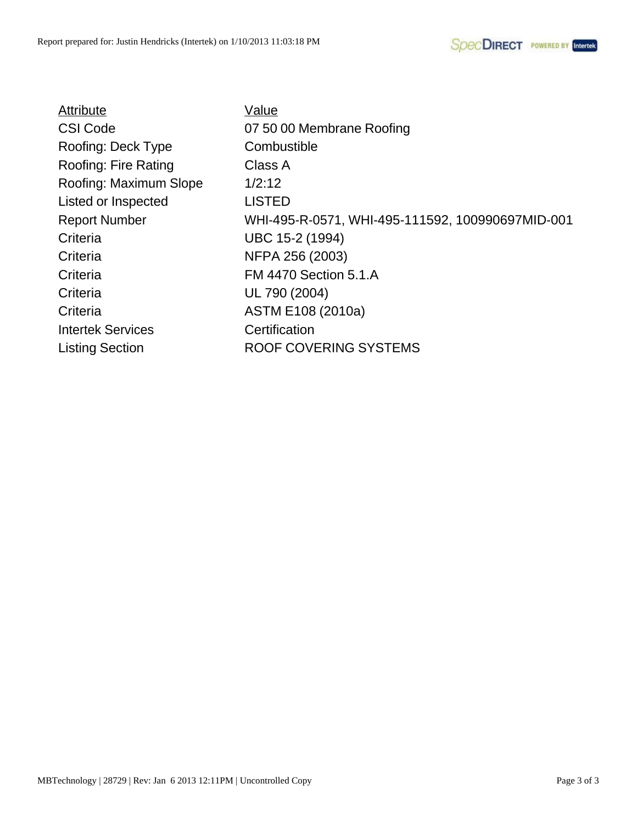| Value                                            |
|--------------------------------------------------|
| 07 50 00 Membrane Roofing                        |
| Combustible                                      |
| Class A                                          |
| 1/2:12                                           |
| <b>LISTED</b>                                    |
| WHI-495-R-0571, WHI-495-111592, 100990697MID-001 |
| UBC 15-2 (1994)                                  |
| NFPA 256 (2003)                                  |
| <b>FM 4470 Section 5.1.A</b>                     |
| UL 790 (2004)                                    |
| ASTM E108 (2010a)                                |
| Certification                                    |
| <b>ROOF COVERING SYSTEMS</b>                     |
|                                                  |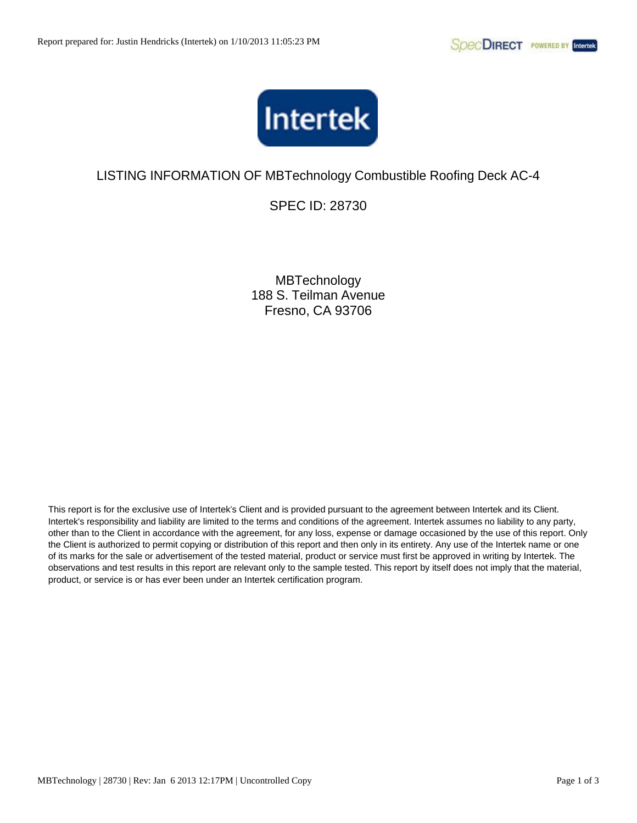

SPEC ID: 28730

**MBTechnology** 188 S. Teilman Avenue Fresno, CA 93706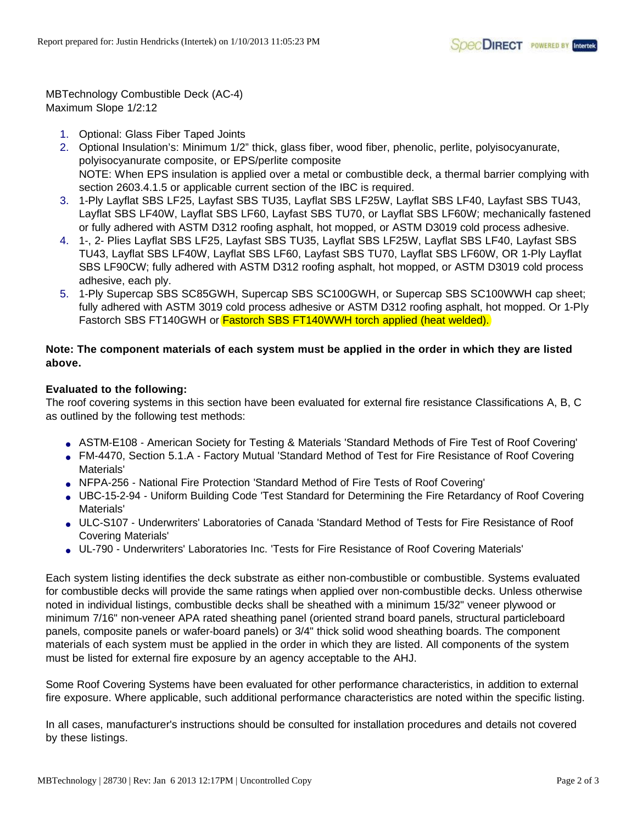MBTechnology Combustible Deck (AC-4) Maximum Slope 1/2:12

- 1. Optional: Glass Fiber Taped Joints
- 2. Optional Insulation's: Minimum 1/2" thick, glass fiber, wood fiber, phenolic, perlite, polyisocyanurate, polyisocyanurate composite, or EPS/perlite composite NOTE: When EPS insulation is applied over a metal or combustible deck, a thermal barrier complying with section 2603.4.1.5 or applicable current section of the IBC is required.
- 3. 1-Ply Layflat SBS LF25, Layfast SBS TU35, Layflat SBS LF25W, Layflat SBS LF40, Layfast SBS TU43, Layflat SBS LF40W, Layflat SBS LF60, Layfast SBS TU70, or Layflat SBS LF60W; mechanically fastened or fully adhered with ASTM D312 roofing asphalt, hot mopped, or ASTM D3019 cold process adhesive.
- 4. 1-, 2- Plies Layflat SBS LF25, Layfast SBS TU35, Layflat SBS LF25W, Layflat SBS LF40, Layfast SBS TU43, Layflat SBS LF40W, Layflat SBS LF60, Layfast SBS TU70, Layflat SBS LF60W, OR 1-Ply Layflat SBS LF90CW; fully adhered with ASTM D312 roofing asphalt, hot mopped, or ASTM D3019 cold process adhesive, each ply.
- 5. 1-Ply Supercap SBS SC85GWH, Supercap SBS SC100GWH, or Supercap SBS SC100WWH cap sheet; fully adhered with ASTM 3019 cold process adhesive or ASTM D312 roofing asphalt, hot mopped. Or 1-Ply Fastorch SBS FT140GWH or Fastorch SBS FT140WWH torch applied (heat welded).

## **Note: The component materials of each system must be applied in the order in which they are listed above.**

## **Evaluated to the following:**

The roof covering systems in this section have been evaluated for external fire resistance Classifications A, B, C as outlined by the following test methods:

- ASTM-E108 American Society for Testing & Materials 'Standard Methods of Fire Test of Roof Covering'
- FM-4470, Section 5.1.A Factory Mutual 'Standard Method of Test for Fire Resistance of Roof Covering Materials'
- NFPA-256 National Fire Protection 'Standard Method of Fire Tests of Roof Covering'
- UBC-15-2-94 Uniform Building Code 'Test Standard for Determining the Fire Retardancy of Roof Covering Materials'
- ULC-S107 Underwriters' Laboratories of Canada 'Standard Method of Tests for Fire Resistance of Roof Covering Materials'
- UL-790 Underwriters' Laboratories Inc. 'Tests for Fire Resistance of Roof Covering Materials'

Each system listing identifies the deck substrate as either non-combustible or combustible. Systems evaluated for combustible decks will provide the same ratings when applied over non-combustible decks. Unless otherwise noted in individual listings, combustible decks shall be sheathed with a minimum 15/32" veneer plywood or minimum 7/16" non-veneer APA rated sheathing panel (oriented strand board panels, structural particleboard panels, composite panels or wafer-board panels) or 3/4" thick solid wood sheathing boards. The component materials of each system must be applied in the order in which they are listed. All components of the system must be listed for external fire exposure by an agency acceptable to the AHJ.

Some Roof Covering Systems have been evaluated for other performance characteristics, in addition to external fire exposure. Where applicable, such additional performance characteristics are noted within the specific listing.

In all cases, manufacturer's instructions should be consulted for installation procedures and details not covered by these listings.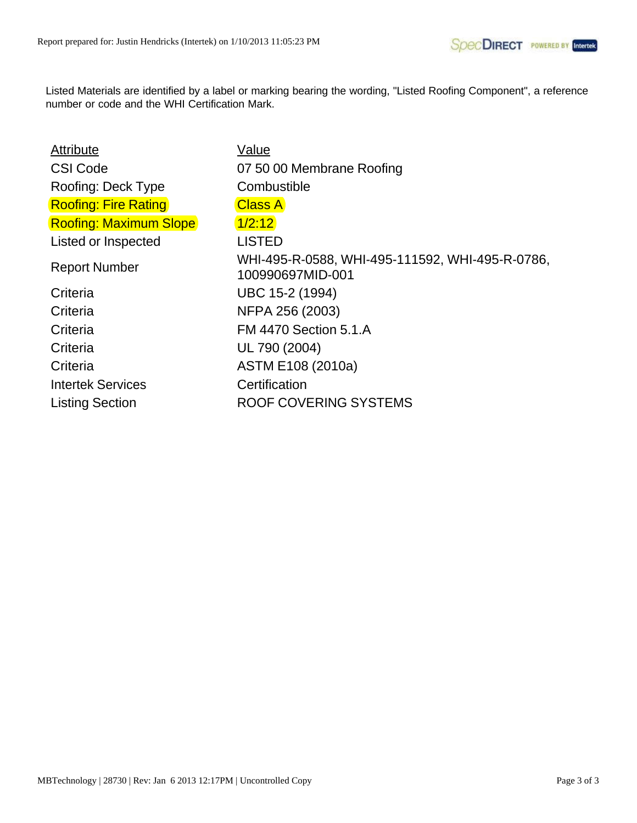| <b>Attribute</b>              | <b>Value</b>                                                        |
|-------------------------------|---------------------------------------------------------------------|
| <b>CSI Code</b>               | 07 50 00 Membrane Roofing                                           |
| Roofing: Deck Type            | Combustible                                                         |
| <b>Roofing: Fire Rating</b>   | <b>Class A</b>                                                      |
| <b>Roofing: Maximum Slope</b> | 1/2:12                                                              |
| Listed or Inspected           | <b>LISTED</b>                                                       |
| <b>Report Number</b>          | WHI-495-R-0588, WHI-495-111592, WHI-495-R-0786,<br>100990697MID-001 |
| Criteria                      | UBC 15-2 (1994)                                                     |
| Criteria                      | NFPA 256 (2003)                                                     |
| Criteria                      | <b>FM 4470 Section 5.1.A</b>                                        |
| Criteria                      | UL 790 (2004)                                                       |
| Criteria                      | ASTM E108 (2010a)                                                   |
| <b>Intertek Services</b>      | Certification                                                       |
| <b>Listing Section</b>        | ROOF COVERING SYSTEMS                                               |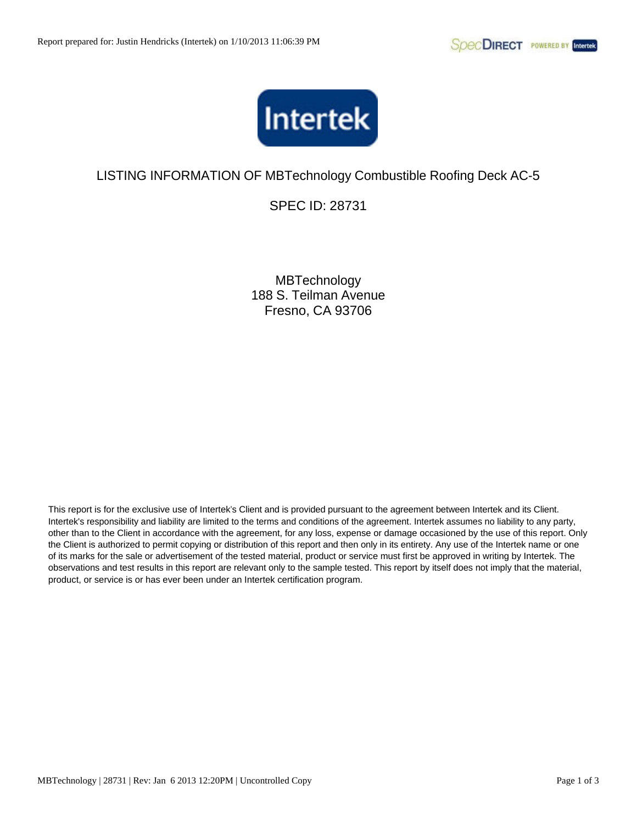

SPEC ID: 28731

**MBTechnology** 188 S. Teilman Avenue Fresno, CA 93706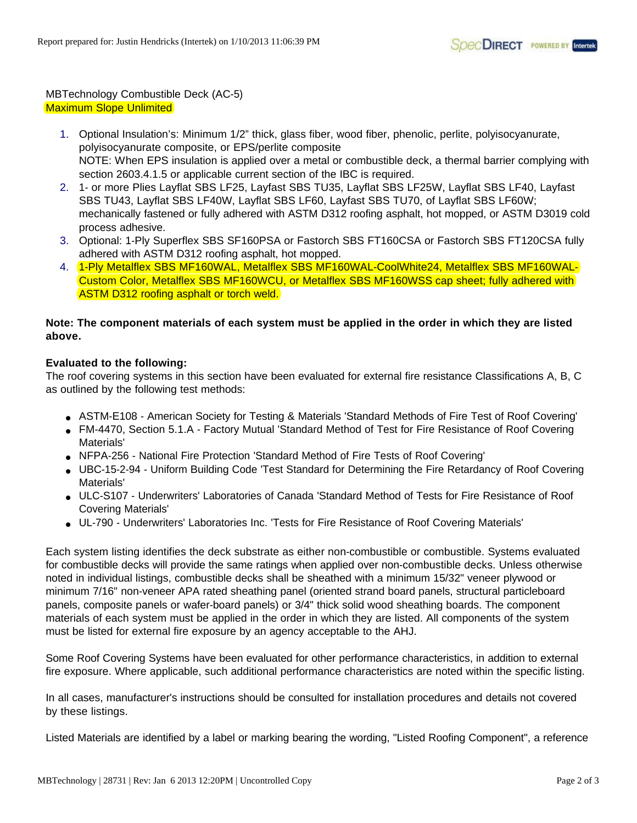## MBTechnology Combustible Deck (AC-5) Maximum Slope Unlimited

- 1. Optional Insulation's: Minimum 1/2" thick, glass fiber, wood fiber, phenolic, perlite, polyisocyanurate, polyisocyanurate composite, or EPS/perlite composite NOTE: When EPS insulation is applied over a metal or combustible deck, a thermal barrier complying with section 2603.4.1.5 or applicable current section of the IBC is required.
- 2. 1- or more Plies Layflat SBS LF25, Layfast SBS TU35, Layflat SBS LF25W, Layflat SBS LF40, Layfast SBS TU43, Layflat SBS LF40W, Layflat SBS LF60, Layfast SBS TU70, of Layflat SBS LF60W; mechanically fastened or fully adhered with ASTM D312 roofing asphalt, hot mopped, or ASTM D3019 cold process adhesive.
- 3. Optional: 1-Ply Superflex SBS SF160PSA or Fastorch SBS FT160CSA or Fastorch SBS FT120CSA fully adhered with ASTM D312 roofing asphalt, hot mopped.
- 4. 1-Ply Metalflex SBS MF160WAL, Metalflex SBS MF160WAL-CoolWhite24, Metalflex SBS MF160WAL-Custom Color, Metalflex SBS MF160WCU, or Metalflex SBS MF160WSS cap sheet; fully adhered with ASTM D312 roofing asphalt or torch weld.

## **Note: The component materials of each system must be applied in the order in which they are listed above.**

## **Evaluated to the following:**

The roof covering systems in this section have been evaluated for external fire resistance Classifications A, B, C as outlined by the following test methods:

- ASTM-E108 American Society for Testing & Materials 'Standard Methods of Fire Test of Roof Covering'
- FM-4470, Section 5.1.A Factory Mutual 'Standard Method of Test for Fire Resistance of Roof Covering Materials'
- NFPA-256 National Fire Protection 'Standard Method of Fire Tests of Roof Covering'
- UBC-15-2-94 Uniform Building Code 'Test Standard for Determining the Fire Retardancy of Roof Covering Materials'
- ULC-S107 Underwriters' Laboratories of Canada 'Standard Method of Tests for Fire Resistance of Roof Covering Materials'
- UL-790 Underwriters' Laboratories Inc. 'Tests for Fire Resistance of Roof Covering Materials'

Each system listing identifies the deck substrate as either non-combustible or combustible. Systems evaluated for combustible decks will provide the same ratings when applied over non-combustible decks. Unless otherwise noted in individual listings, combustible decks shall be sheathed with a minimum 15/32" veneer plywood or minimum 7/16" non-veneer APA rated sheathing panel (oriented strand board panels, structural particleboard panels, composite panels or wafer-board panels) or 3/4" thick solid wood sheathing boards. The component materials of each system must be applied in the order in which they are listed. All components of the system must be listed for external fire exposure by an agency acceptable to the AHJ.

Some Roof Covering Systems have been evaluated for other performance characteristics, in addition to external fire exposure. Where applicable, such additional performance characteristics are noted within the specific listing.

In all cases, manufacturer's instructions should be consulted for installation procedures and details not covered by these listings.

Listed Materials are identified by a label or marking bearing the wording, "Listed Roofing Component", a reference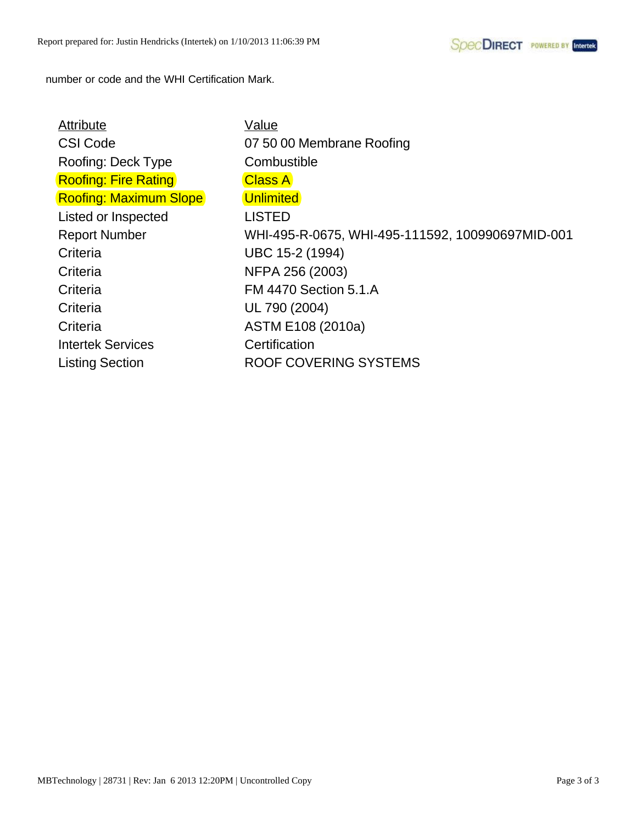number or code and the WHI Certification Mark.

| Attribute                     | Value                                            |
|-------------------------------|--------------------------------------------------|
| <b>CSI Code</b>               | 07 50 00 Membrane Roofing                        |
| Roofing: Deck Type            | Combustible                                      |
| <b>Roofing: Fire Rating</b>   | <b>Class A</b>                                   |
| <b>Roofing: Maximum Slope</b> | <b>Unlimited</b>                                 |
| Listed or Inspected           | <b>LISTED</b>                                    |
| <b>Report Number</b>          | WHI-495-R-0675, WHI-495-111592, 100990697MID-001 |
| Criteria                      | UBC 15-2 (1994)                                  |
| Criteria                      | NFPA 256 (2003)                                  |
| Criteria                      | <b>FM 4470 Section 5.1.A</b>                     |
| Criteria                      | UL 790 (2004)                                    |
| Criteria                      | ASTM E108 (2010a)                                |
| <b>Intertek Services</b>      | Certification                                    |
| <b>Listing Section</b>        | ROOF COVERING SYSTEMS                            |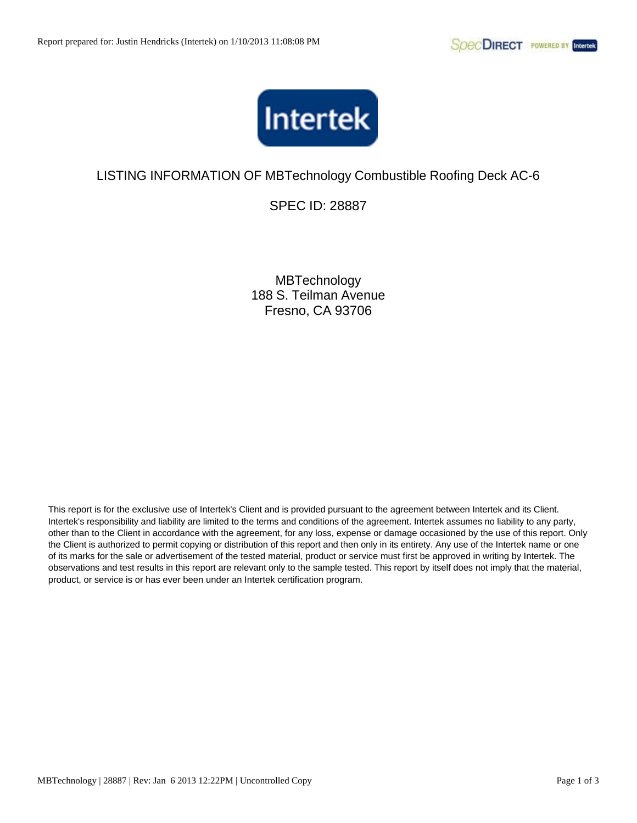

SPEC ID: 28887

**MBTechnology** 188 S. Teilman Avenue Fresno, CA 93706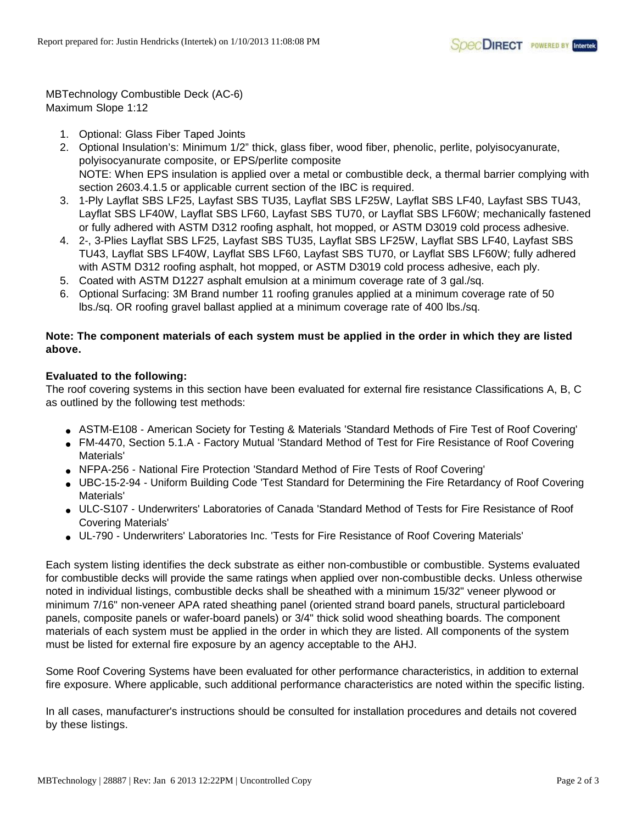MBTechnology Combustible Deck (AC-6) Maximum Slope 1:12

- 1. Optional: Glass Fiber Taped Joints
- 2. Optional Insulation's: Minimum 1/2" thick, glass fiber, wood fiber, phenolic, perlite, polyisocyanurate, polyisocyanurate composite, or EPS/perlite composite NOTE: When EPS insulation is applied over a metal or combustible deck, a thermal barrier complying with section 2603.4.1.5 or applicable current section of the IBC is required.
- 3. 1-Ply Layflat SBS LF25, Layfast SBS TU35, Layflat SBS LF25W, Layflat SBS LF40, Layfast SBS TU43, Layflat SBS LF40W, Layflat SBS LF60, Layfast SBS TU70, or Layflat SBS LF60W; mechanically fastened or fully adhered with ASTM D312 roofing asphalt, hot mopped, or ASTM D3019 cold process adhesive.
- 4. 2-, 3-Plies Layflat SBS LF25, Layfast SBS TU35, Layflat SBS LF25W, Layflat SBS LF40, Layfast SBS TU43, Layflat SBS LF40W, Layflat SBS LF60, Layfast SBS TU70, or Layflat SBS LF60W; fully adhered with ASTM D312 roofing asphalt, hot mopped, or ASTM D3019 cold process adhesive, each ply.
- 5. Coated with ASTM D1227 asphalt emulsion at a minimum coverage rate of 3 gal./sq.
- 6. Optional Surfacing: 3M Brand number 11 roofing granules applied at a minimum coverage rate of 50 lbs./sq. OR roofing gravel ballast applied at a minimum coverage rate of 400 lbs./sq.

## **Note: The component materials of each system must be applied in the order in which they are listed above.**

## **Evaluated to the following:**

The roof covering systems in this section have been evaluated for external fire resistance Classifications A, B, C as outlined by the following test methods:

- ASTM-E108 American Society for Testing & Materials 'Standard Methods of Fire Test of Roof Covering'
- FM-4470, Section 5.1.A Factory Mutual 'Standard Method of Test for Fire Resistance of Roof Covering Materials'
- NFPA-256 National Fire Protection 'Standard Method of Fire Tests of Roof Covering'
- UBC-15-2-94 Uniform Building Code 'Test Standard for Determining the Fire Retardancy of Roof Covering Materials'
- ULC-S107 Underwriters' Laboratories of Canada 'Standard Method of Tests for Fire Resistance of Roof Covering Materials'
- UL-790 Underwriters' Laboratories Inc. 'Tests for Fire Resistance of Roof Covering Materials'

Each system listing identifies the deck substrate as either non-combustible or combustible. Systems evaluated for combustible decks will provide the same ratings when applied over non-combustible decks. Unless otherwise noted in individual listings, combustible decks shall be sheathed with a minimum 15/32" veneer plywood or minimum 7/16" non-veneer APA rated sheathing panel (oriented strand board panels, structural particleboard panels, composite panels or wafer-board panels) or 3/4" thick solid wood sheathing boards. The component materials of each system must be applied in the order in which they are listed. All components of the system must be listed for external fire exposure by an agency acceptable to the AHJ.

Some Roof Covering Systems have been evaluated for other performance characteristics, in addition to external fire exposure. Where applicable, such additional performance characteristics are noted within the specific listing.

In all cases, manufacturer's instructions should be consulted for installation procedures and details not covered by these listings.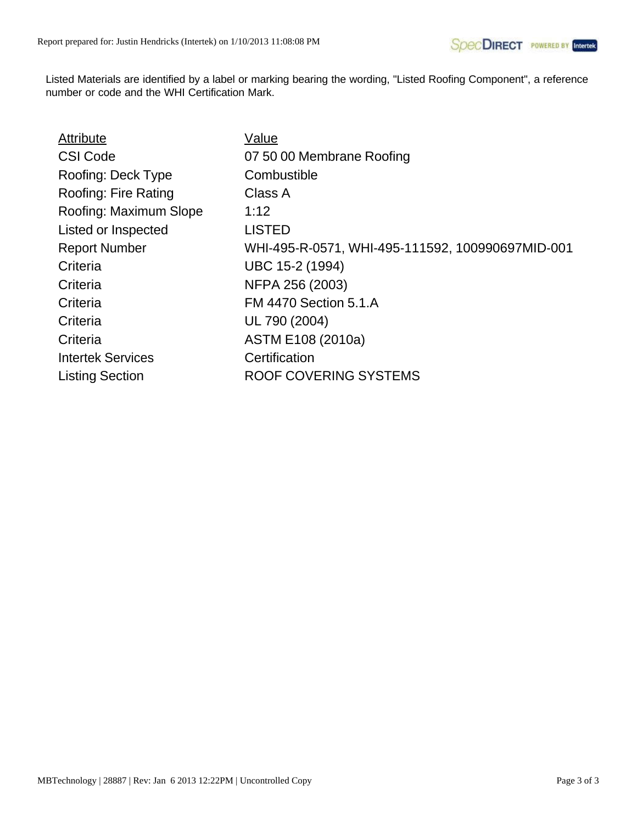| Attribute                | Value                                            |
|--------------------------|--------------------------------------------------|
| <b>CSI Code</b>          | 07 50 00 Membrane Roofing                        |
| Roofing: Deck Type       | Combustible                                      |
| Roofing: Fire Rating     | Class A                                          |
| Roofing: Maximum Slope   | 1:12                                             |
| Listed or Inspected      | <b>LISTED</b>                                    |
| <b>Report Number</b>     | WHI-495-R-0571, WHI-495-111592, 100990697MID-001 |
| Criteria                 | UBC 15-2 (1994)                                  |
| Criteria                 | NFPA 256 (2003)                                  |
| Criteria                 | <b>FM 4470 Section 5.1.A</b>                     |
| Criteria                 | UL 790 (2004)                                    |
| Criteria                 | ASTM E108 (2010a)                                |
| <b>Intertek Services</b> | Certification                                    |
| <b>Listing Section</b>   | ROOF COVERING SYSTEMS                            |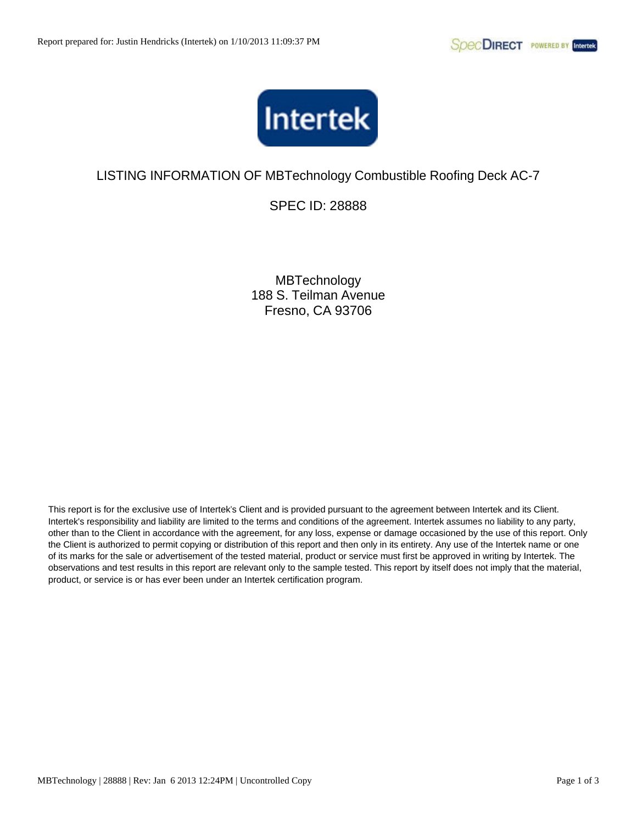

SPEC ID: 28888

**MBTechnology** 188 S. Teilman Avenue Fresno, CA 93706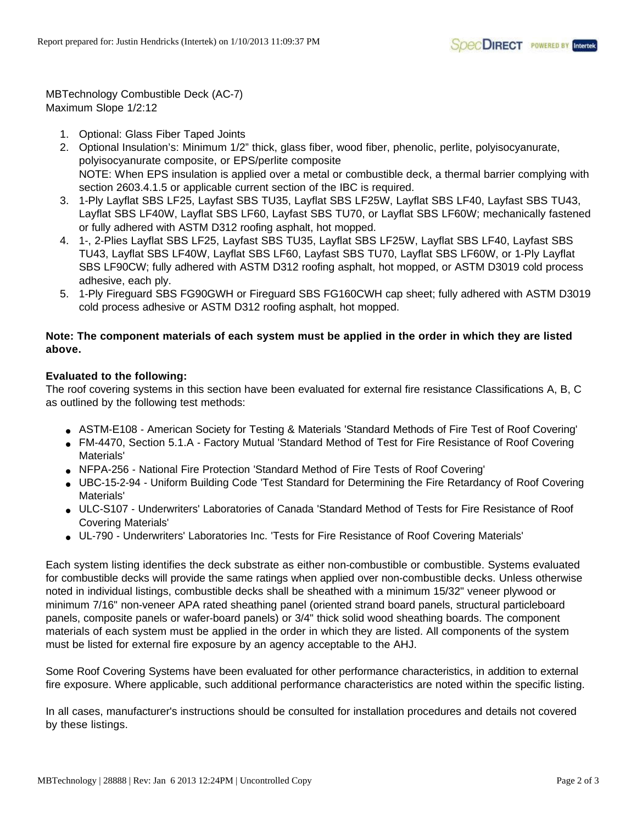MBTechnology Combustible Deck (AC-7) Maximum Slope 1/2:12

- 1. Optional: Glass Fiber Taped Joints
- 2. Optional Insulation's: Minimum 1/2" thick, glass fiber, wood fiber, phenolic, perlite, polyisocyanurate, polyisocyanurate composite, or EPS/perlite composite NOTE: When EPS insulation is applied over a metal or combustible deck, a thermal barrier complying with section 2603.4.1.5 or applicable current section of the IBC is required.
- 3. 1-Ply Layflat SBS LF25, Layfast SBS TU35, Layflat SBS LF25W, Layflat SBS LF40, Layfast SBS TU43, Layflat SBS LF40W, Layflat SBS LF60, Layfast SBS TU70, or Layflat SBS LF60W; mechanically fastened or fully adhered with ASTM D312 roofing asphalt, hot mopped.
- 4. 1-, 2-Plies Layflat SBS LF25, Layfast SBS TU35, Layflat SBS LF25W, Layflat SBS LF40, Layfast SBS TU43, Layflat SBS LF40W, Layflat SBS LF60, Layfast SBS TU70, Layflat SBS LF60W, or 1-Ply Layflat SBS LF90CW; fully adhered with ASTM D312 roofing asphalt, hot mopped, or ASTM D3019 cold process adhesive, each ply.
- 5. 1-Ply Fireguard SBS FG90GWH or Fireguard SBS FG160CWH cap sheet; fully adhered with ASTM D3019 cold process adhesive or ASTM D312 roofing asphalt, hot mopped.

## **Note: The component materials of each system must be applied in the order in which they are listed above.**

## **Evaluated to the following:**

The roof covering systems in this section have been evaluated for external fire resistance Classifications A, B, C as outlined by the following test methods:

- ASTM-E108 American Society for Testing & Materials 'Standard Methods of Fire Test of Roof Covering'
- FM-4470, Section 5.1.A Factory Mutual 'Standard Method of Test for Fire Resistance of Roof Covering Materials'
- NFPA-256 National Fire Protection 'Standard Method of Fire Tests of Roof Covering'
- UBC-15-2-94 Uniform Building Code 'Test Standard for Determining the Fire Retardancy of Roof Covering Materials'
- ULC-S107 Underwriters' Laboratories of Canada 'Standard Method of Tests for Fire Resistance of Roof Covering Materials'
- UL-790 Underwriters' Laboratories Inc. 'Tests for Fire Resistance of Roof Covering Materials'

Each system listing identifies the deck substrate as either non-combustible or combustible. Systems evaluated for combustible decks will provide the same ratings when applied over non-combustible decks. Unless otherwise noted in individual listings, combustible decks shall be sheathed with a minimum 15/32" veneer plywood or minimum 7/16" non-veneer APA rated sheathing panel (oriented strand board panels, structural particleboard panels, composite panels or wafer-board panels) or 3/4" thick solid wood sheathing boards. The component materials of each system must be applied in the order in which they are listed. All components of the system must be listed for external fire exposure by an agency acceptable to the AHJ.

Some Roof Covering Systems have been evaluated for other performance characteristics, in addition to external fire exposure. Where applicable, such additional performance characteristics are noted within the specific listing.

In all cases, manufacturer's instructions should be consulted for installation procedures and details not covered by these listings.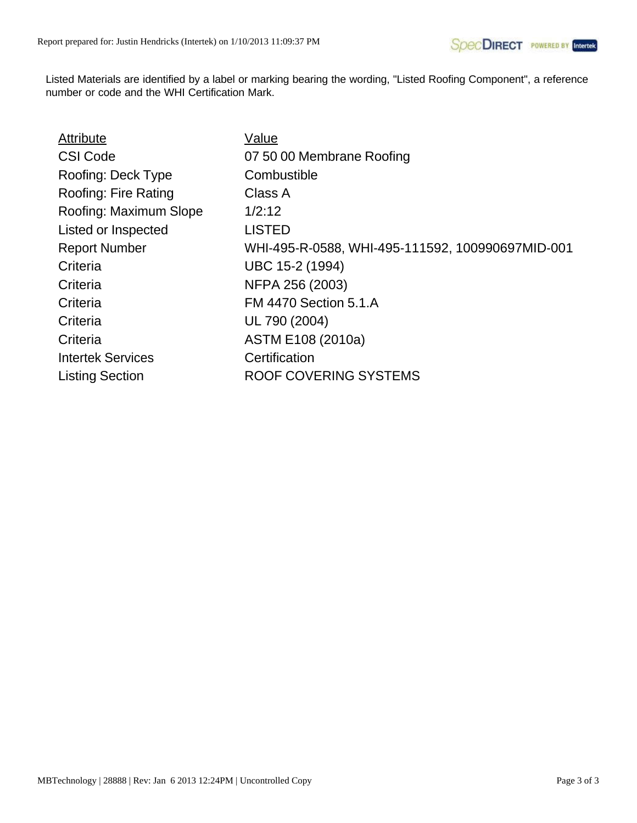| Attribute                | Value                                            |
|--------------------------|--------------------------------------------------|
| <b>CSI Code</b>          | 07 50 00 Membrane Roofing                        |
| Roofing: Deck Type       | Combustible                                      |
| Roofing: Fire Rating     | Class A                                          |
| Roofing: Maximum Slope   | 1/2:12                                           |
| Listed or Inspected      | <b>LISTED</b>                                    |
| <b>Report Number</b>     | WHI-495-R-0588, WHI-495-111592, 100990697MID-001 |
| Criteria                 | UBC 15-2 (1994)                                  |
| Criteria                 | NFPA 256 (2003)                                  |
| Criteria                 | <b>FM 4470 Section 5.1.A</b>                     |
| Criteria                 | UL 790 (2004)                                    |
| Criteria                 | ASTM E108 (2010a)                                |
| <b>Intertek Services</b> | Certification                                    |
| <b>Listing Section</b>   | ROOF COVERING SYSTEMS                            |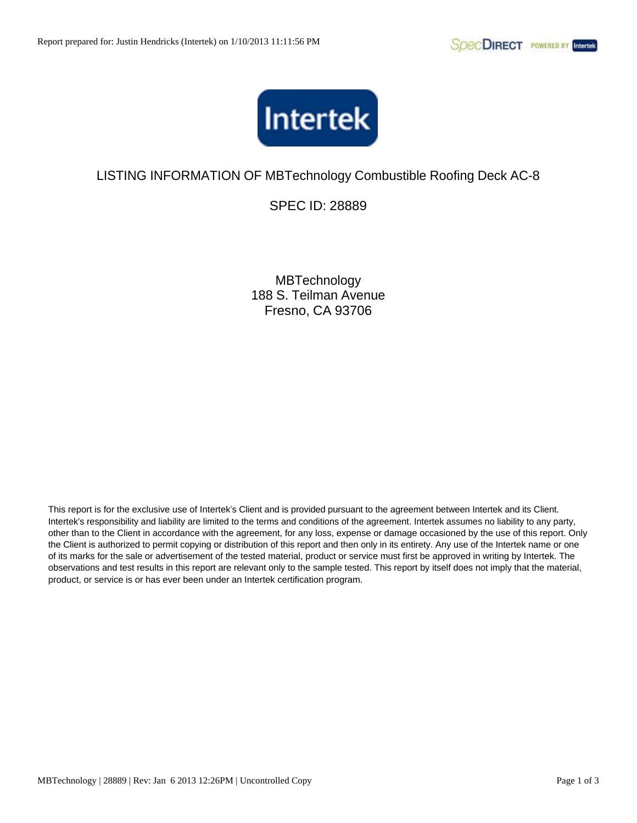

SPEC ID: 28889

**MBTechnology** 188 S. Teilman Avenue Fresno, CA 93706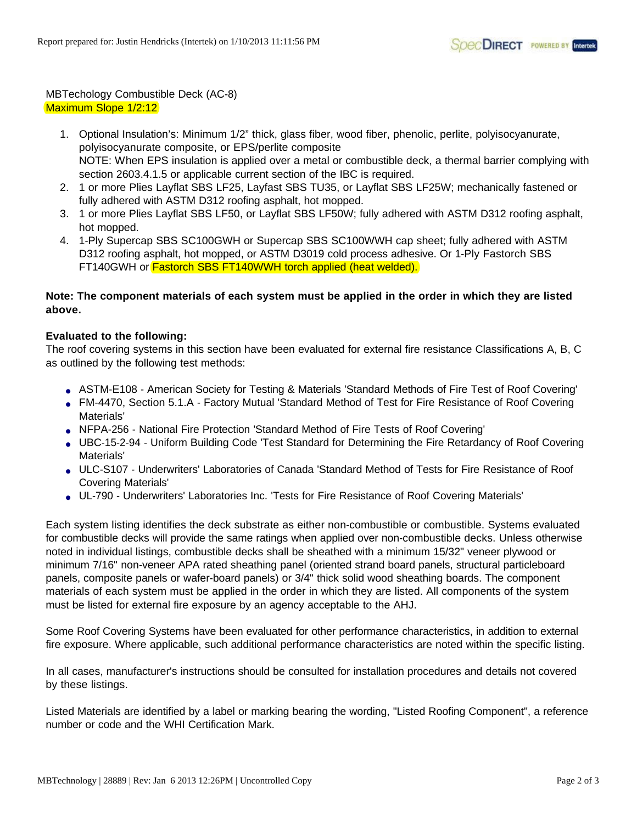## MBTechology Combustible Deck (AC-8) Maximum Slope 1/2:12

- 1. Optional Insulation's: Minimum 1/2" thick, glass fiber, wood fiber, phenolic, perlite, polyisocyanurate, polyisocyanurate composite, or EPS/perlite composite NOTE: When EPS insulation is applied over a metal or combustible deck, a thermal barrier complying with section 2603.4.1.5 or applicable current section of the IBC is required.
- 2. 1 or more Plies Layflat SBS LF25, Layfast SBS TU35, or Layflat SBS LF25W; mechanically fastened or fully adhered with ASTM D312 roofing asphalt, hot mopped.
- 3. 1 or more Plies Layflat SBS LF50, or Layflat SBS LF50W; fully adhered with ASTM D312 roofing asphalt, hot mopped.
- 4. 1-Ply Supercap SBS SC100GWH or Supercap SBS SC100WWH cap sheet; fully adhered with ASTM D312 roofing asphalt, hot mopped, or ASTM D3019 cold process adhesive. Or 1-Ply Fastorch SBS FT140GWH or **Fastorch SBS FT140WWH torch applied (heat welded).**

### **Note: The component materials of each system must be applied in the order in which they are listed above.**

## **Evaluated to the following:**

The roof covering systems in this section have been evaluated for external fire resistance Classifications A, B, C as outlined by the following test methods:

- ASTM-E108 American Society for Testing & Materials 'Standard Methods of Fire Test of Roof Covering'
- FM-4470, Section 5.1.A Factory Mutual 'Standard Method of Test for Fire Resistance of Roof Covering Materials'
- NFPA-256 National Fire Protection 'Standard Method of Fire Tests of Roof Covering'
- UBC-15-2-94 Uniform Building Code 'Test Standard for Determining the Fire Retardancy of Roof Covering Materials'
- ULC-S107 Underwriters' Laboratories of Canada 'Standard Method of Tests for Fire Resistance of Roof Covering Materials'
- UL-790 Underwriters' Laboratories Inc. 'Tests for Fire Resistance of Roof Covering Materials'

Each system listing identifies the deck substrate as either non-combustible or combustible. Systems evaluated for combustible decks will provide the same ratings when applied over non-combustible decks. Unless otherwise noted in individual listings, combustible decks shall be sheathed with a minimum 15/32" veneer plywood or minimum 7/16" non-veneer APA rated sheathing panel (oriented strand board panels, structural particleboard panels, composite panels or wafer-board panels) or 3/4" thick solid wood sheathing boards. The component materials of each system must be applied in the order in which they are listed. All components of the system must be listed for external fire exposure by an agency acceptable to the AHJ.

Some Roof Covering Systems have been evaluated for other performance characteristics, in addition to external fire exposure. Where applicable, such additional performance characteristics are noted within the specific listing.

In all cases, manufacturer's instructions should be consulted for installation procedures and details not covered by these listings.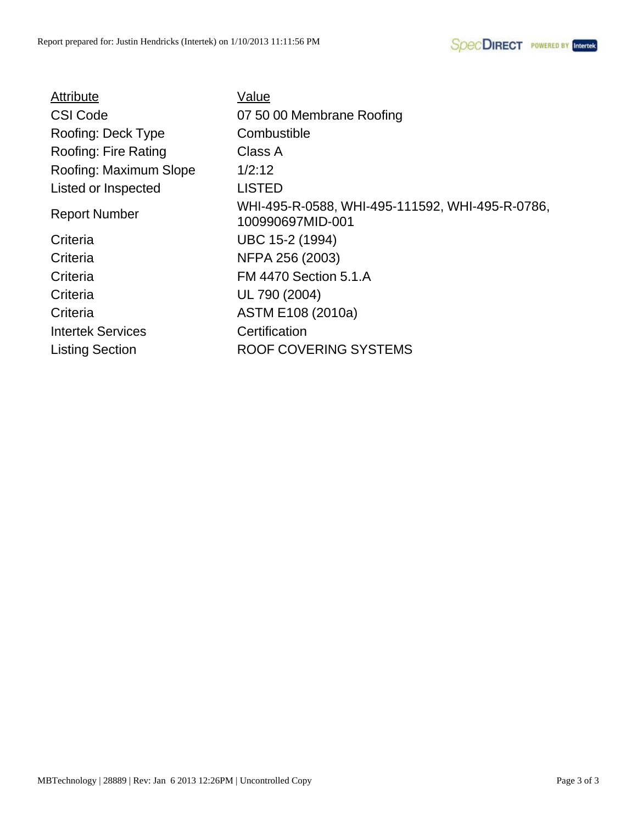| Value                                                               |
|---------------------------------------------------------------------|
| 07 50 00 Membrane Roofing                                           |
| Combustible                                                         |
| Class A                                                             |
| 1/2:12                                                              |
| <b>LISTED</b>                                                       |
| WHI-495-R-0588, WHI-495-111592, WHI-495-R-0786,<br>100990697MID-001 |
| UBC 15-2 (1994)                                                     |
| NFPA 256 (2003)                                                     |
| <b>FM 4470 Section 5.1.A</b>                                        |
| UL 790 (2004)                                                       |
| ASTM E108 (2010a)                                                   |
| Certification                                                       |
| ROOF COVERING SYSTEMS                                               |
|                                                                     |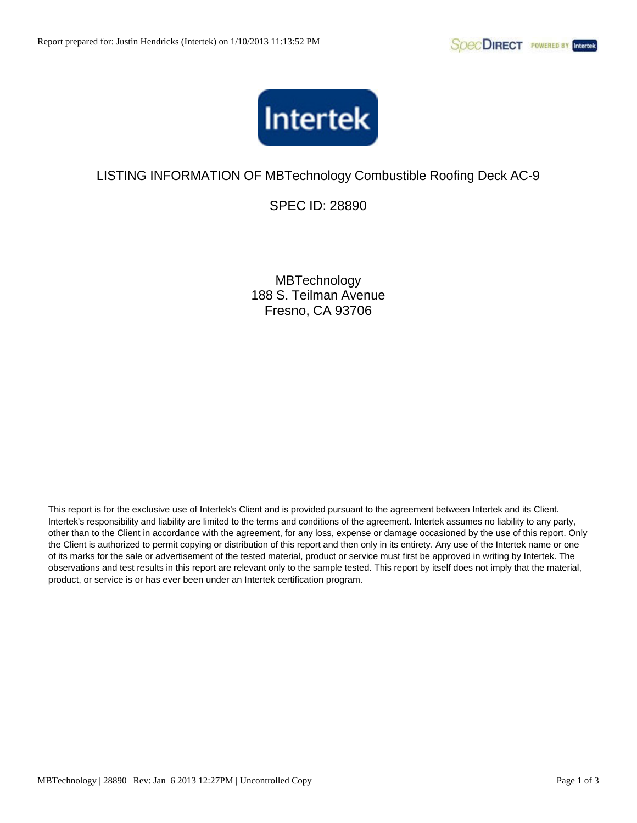

SPEC ID: 28890

**MBTechnology** 188 S. Teilman Avenue Fresno, CA 93706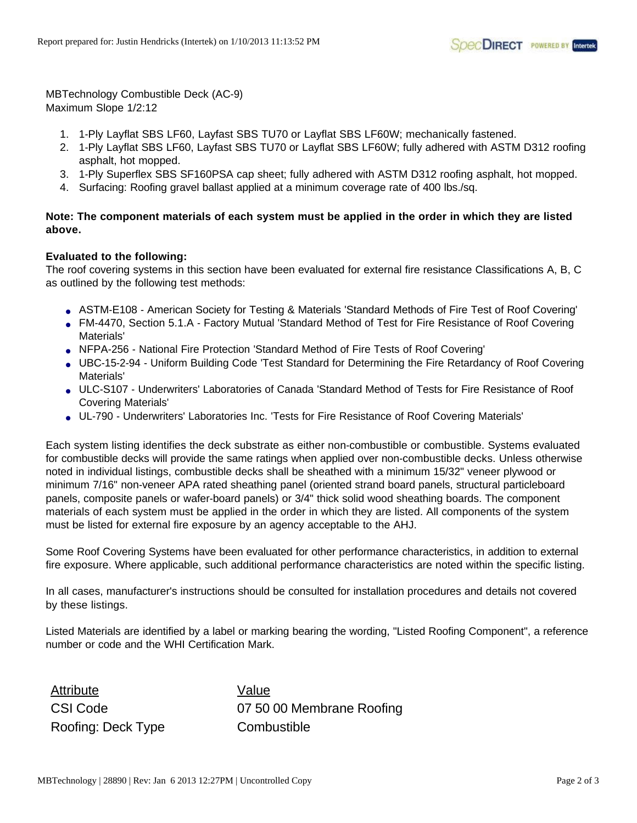MBTechnology Combustible Deck (AC-9) Maximum Slope 1/2:12

- 1. 1-Ply Layflat SBS LF60, Layfast SBS TU70 or Layflat SBS LF60W; mechanically fastened.
- 2. 1-Ply Layflat SBS LF60, Layfast SBS TU70 or Layflat SBS LF60W; fully adhered with ASTM D312 roofing asphalt, hot mopped.
- 3. 1-Ply Superflex SBS SF160PSA cap sheet; fully adhered with ASTM D312 roofing asphalt, hot mopped.
- 4. Surfacing: Roofing gravel ballast applied at a minimum coverage rate of 400 lbs./sq.

## **Note: The component materials of each system must be applied in the order in which they are listed above.**

### **Evaluated to the following:**

The roof covering systems in this section have been evaluated for external fire resistance Classifications A, B, C as outlined by the following test methods:

- ASTM-E108 American Society for Testing & Materials 'Standard Methods of Fire Test of Roof Covering'
- FM-4470, Section 5.1.A Factory Mutual 'Standard Method of Test for Fire Resistance of Roof Covering Materials'
- NFPA-256 National Fire Protection 'Standard Method of Fire Tests of Roof Covering'
- UBC-15-2-94 Uniform Building Code 'Test Standard for Determining the Fire Retardancy of Roof Covering Materials'
- ULC-S107 Underwriters' Laboratories of Canada 'Standard Method of Tests for Fire Resistance of Roof Covering Materials'
- UL-790 Underwriters' Laboratories Inc. 'Tests for Fire Resistance of Roof Covering Materials'

Each system listing identifies the deck substrate as either non-combustible or combustible. Systems evaluated for combustible decks will provide the same ratings when applied over non-combustible decks. Unless otherwise noted in individual listings, combustible decks shall be sheathed with a minimum 15/32" veneer plywood or minimum 7/16" non-veneer APA rated sheathing panel (oriented strand board panels, structural particleboard panels, composite panels or wafer-board panels) or 3/4" thick solid wood sheathing boards. The component materials of each system must be applied in the order in which they are listed. All components of the system must be listed for external fire exposure by an agency acceptable to the AHJ.

Some Roof Covering Systems have been evaluated for other performance characteristics, in addition to external fire exposure. Where applicable, such additional performance characteristics are noted within the specific listing.

In all cases, manufacturer's instructions should be consulted for installation procedures and details not covered by these listings.

Listed Materials are identified by a label or marking bearing the wording, "Listed Roofing Component", a reference number or code and the WHI Certification Mark.

Attribute Value Roofing: Deck Type Combustible

CSI Code 07 50 00 Membrane Roofing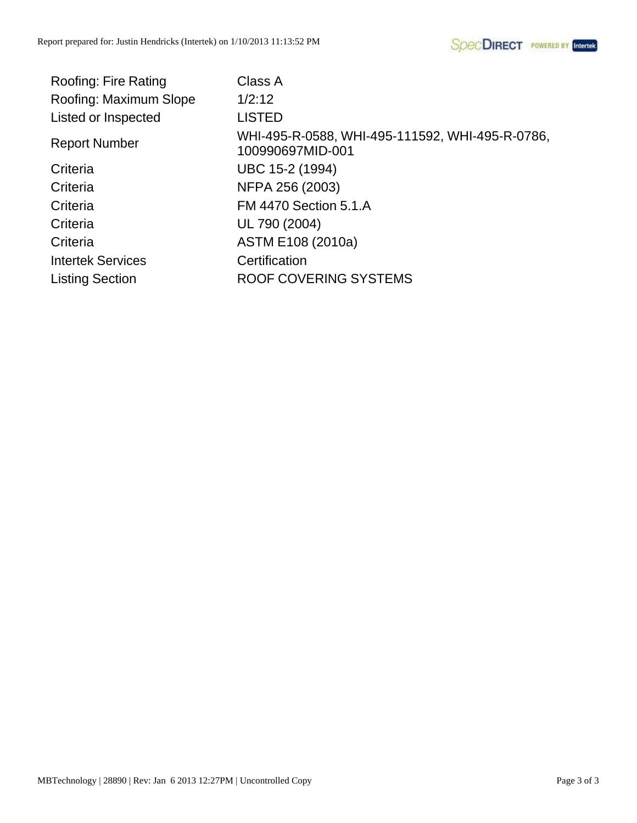| <b>Roofing: Fire Rating</b> | Class A                                                             |
|-----------------------------|---------------------------------------------------------------------|
| Roofing: Maximum Slope      | 1/2:12                                                              |
| Listed or Inspected         | <b>LISTED</b>                                                       |
| <b>Report Number</b>        | WHI-495-R-0588, WHI-495-111592, WHI-495-R-0786,<br>100990697MID-001 |
| Criteria                    | UBC 15-2 (1994)                                                     |
| Criteria                    | NFPA 256 (2003)                                                     |
| Criteria                    | <b>FM 4470 Section 5.1.A</b>                                        |
| Criteria                    | UL 790 (2004)                                                       |
| Criteria                    | ASTM E108 (2010a)                                                   |
| <b>Intertek Services</b>    | Certification                                                       |
| <b>Listing Section</b>      | ROOF COVERING SYSTEMS                                               |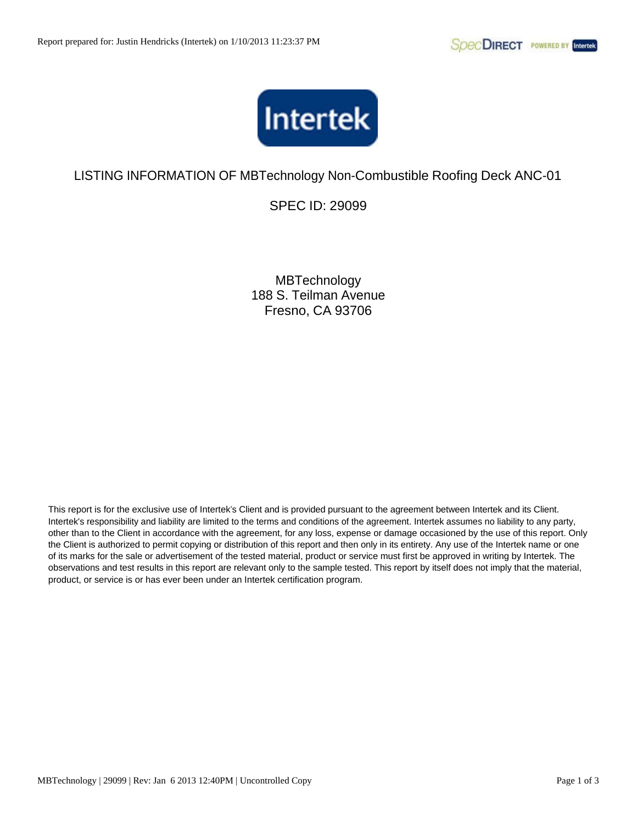

SPEC ID: 29099

**MBTechnology** 188 S. Teilman Avenue Fresno, CA 93706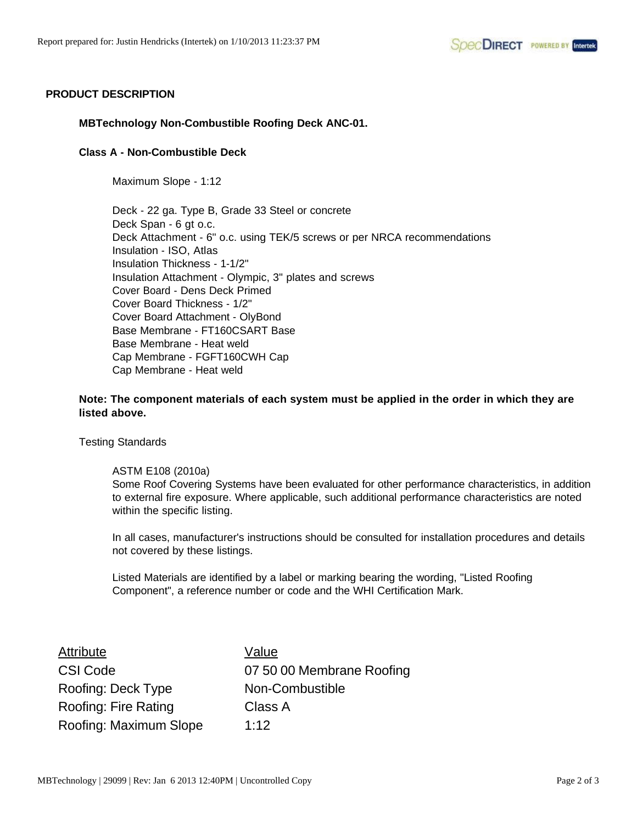### **PRODUCT DESCRIPTION**

### **MBTechnology Non-Combustible Roofing Deck ANC-01.**

#### **Class A - Non-Combustible Deck**

Maximum Slope - 1:12

Deck - 22 ga. Type B, Grade 33 Steel or concrete Deck Span - 6 gt o.c. Deck Attachment - 6" o.c. using TEK/5 screws or per NRCA recommendations Insulation - ISO, Atlas Insulation Thickness - 1-1/2" Insulation Attachment - Olympic, 3" plates and screws Cover Board - Dens Deck Primed Cover Board Thickness - 1/2" Cover Board Attachment - OlyBond Base Membrane - FT160CSART Base Base Membrane - Heat weld Cap Membrane - FGFT160CWH Cap Cap Membrane - Heat weld

**Note: The component materials of each system must be applied in the order in which they are listed above.**

Testing Standards

#### ASTM E108 (2010a)

Some Roof Covering Systems have been evaluated for other performance characteristics, in addition to external fire exposure. Where applicable, such additional performance characteristics are noted within the specific listing.

In all cases, manufacturer's instructions should be consulted for installation procedures and details not covered by these listings.

| Attribute              | Value                     |
|------------------------|---------------------------|
| <b>CSI Code</b>        | 07 50 00 Membrane Roofing |
| Roofing: Deck Type     | Non-Combustible           |
| Roofing: Fire Rating   | Class A                   |
| Roofing: Maximum Slope | 1:12                      |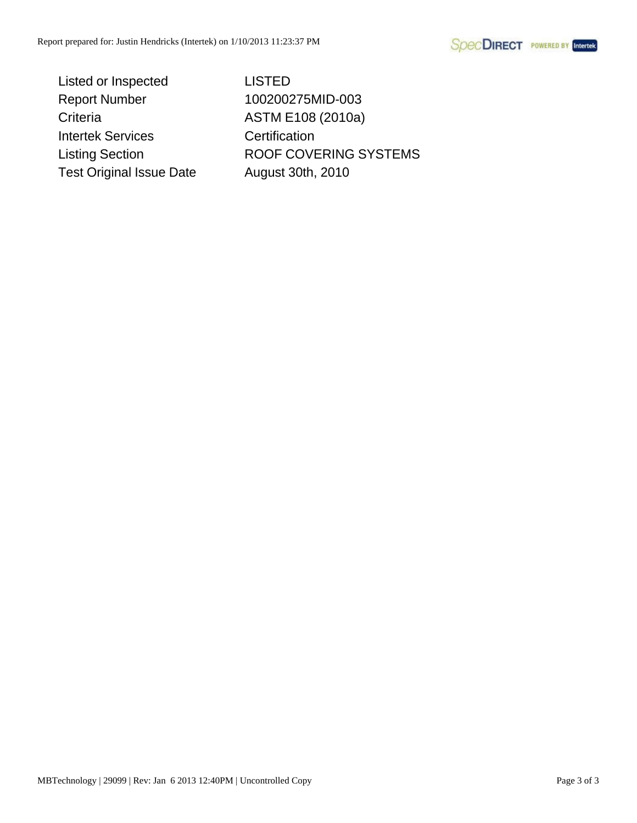**SpecDIRECT** POWERED BY Intertek

Listed or Inspected LISTED Report Number 100200275MID-003 Criteria ASTM E108 (2010a) Intertek Services Certification Test Original Issue Date August 30th, 2010

Listing Section **ROOF COVERING SYSTEMS**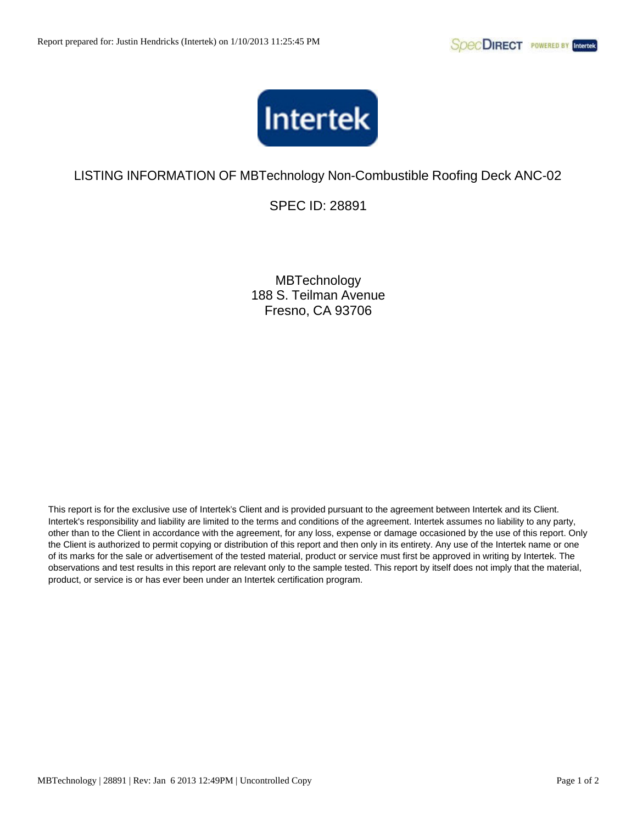

SPEC ID: 28891

**MBTechnology** 188 S. Teilman Avenue Fresno, CA 93706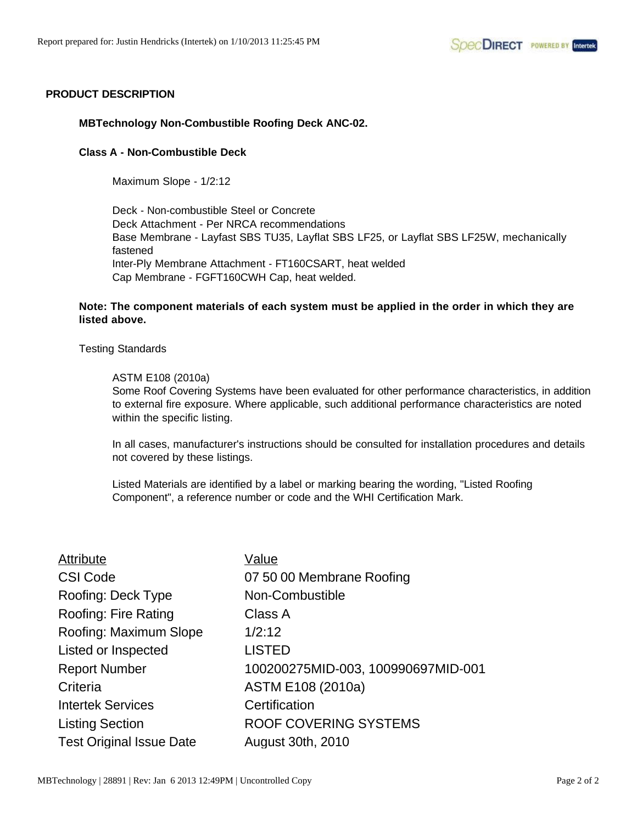### **PRODUCT DESCRIPTION**

#### **MBTechnology Non-Combustible Roofing Deck ANC-02.**

#### **Class A - Non-Combustible Deck**

Maximum Slope - 1/2:12

Deck - Non-combustible Steel or Concrete Deck Attachment - Per NRCA recommendations Base Membrane - Layfast SBS TU35, Layflat SBS LF25, or Layflat SBS LF25W, mechanically fastened Inter-Ply Membrane Attachment - FT160CSART, heat welded Cap Membrane - FGFT160CWH Cap, heat welded.

### **Note: The component materials of each system must be applied in the order in which they are listed above.**

#### Testing Standards

#### ASTM E108 (2010a)

Some Roof Covering Systems have been evaluated for other performance characteristics, in addition to external fire exposure. Where applicable, such additional performance characteristics are noted within the specific listing.

In all cases, manufacturer's instructions should be consulted for installation procedures and details not covered by these listings.

| Attribute                       | Value                              |
|---------------------------------|------------------------------------|
| <b>CSI Code</b>                 | 07 50 00 Membrane Roofing          |
| Roofing: Deck Type              | Non-Combustible                    |
| <b>Roofing: Fire Rating</b>     | Class A                            |
| Roofing: Maximum Slope          | 1/2:12                             |
| Listed or Inspected             | <b>LISTED</b>                      |
| <b>Report Number</b>            | 100200275MID-003, 100990697MID-001 |
| Criteria                        | ASTM E108 (2010a)                  |
| <b>Intertek Services</b>        | Certification                      |
| <b>Listing Section</b>          | ROOF COVERING SYSTEMS              |
| <b>Test Original Issue Date</b> | <b>August 30th, 2010</b>           |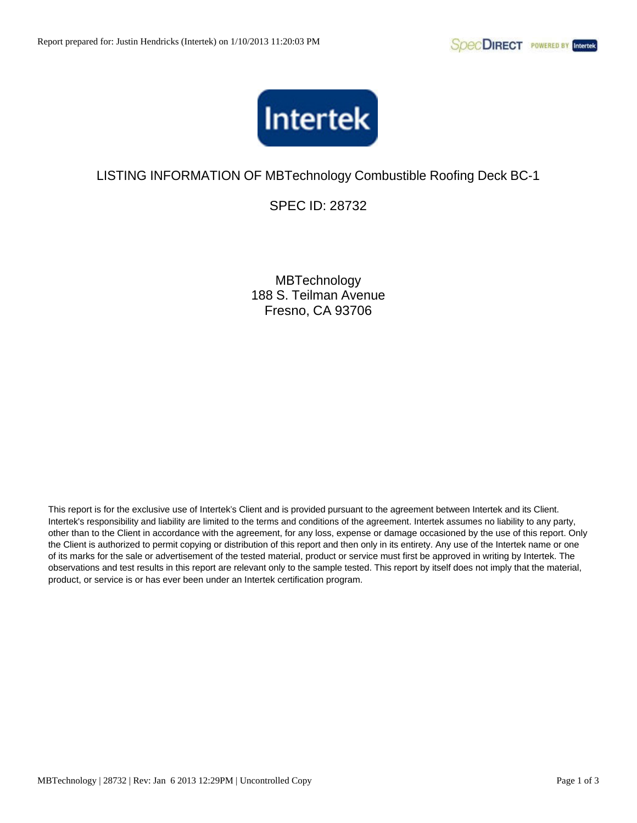

SPEC ID: 28732

**MBTechnology** 188 S. Teilman Avenue Fresno, CA 93706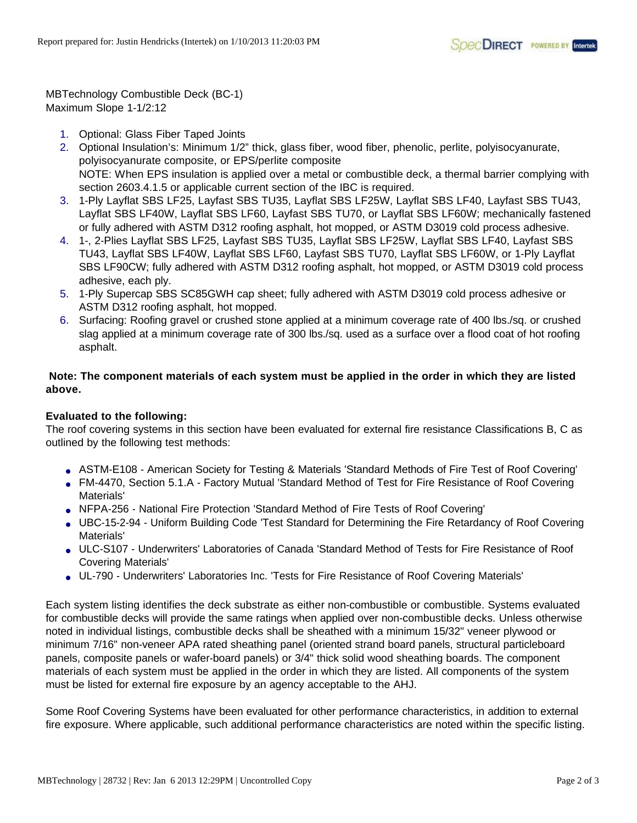MBTechnology Combustible Deck (BC-1) Maximum Slope 1-1/2:12

- 1. Optional: Glass Fiber Taped Joints
- 2. Optional Insulation's: Minimum 1/2" thick, glass fiber, wood fiber, phenolic, perlite, polyisocyanurate, polyisocyanurate composite, or EPS/perlite composite NOTE: When EPS insulation is applied over a metal or combustible deck, a thermal barrier complying with section 2603.4.1.5 or applicable current section of the IBC is required.
- 3. 1-Ply Layflat SBS LF25, Layfast SBS TU35, Layflat SBS LF25W, Layflat SBS LF40, Layfast SBS TU43, Layflat SBS LF40W, Layflat SBS LF60, Layfast SBS TU70, or Layflat SBS LF60W; mechanically fastened or fully adhered with ASTM D312 roofing asphalt, hot mopped, or ASTM D3019 cold process adhesive.
- 4. 1-, 2-Plies Layflat SBS LF25, Layfast SBS TU35, Layflat SBS LF25W, Layflat SBS LF40, Layfast SBS TU43, Layflat SBS LF40W, Layflat SBS LF60, Layfast SBS TU70, Layflat SBS LF60W, or 1-Ply Layflat SBS LF90CW; fully adhered with ASTM D312 roofing asphalt, hot mopped, or ASTM D3019 cold process adhesive, each ply.
- 5. 1-Ply Supercap SBS SC85GWH cap sheet; fully adhered with ASTM D3019 cold process adhesive or ASTM D312 roofing asphalt, hot mopped.
- 6. Surfacing: Roofing gravel or crushed stone applied at a minimum coverage rate of 400 lbs./sq. or crushed slag applied at a minimum coverage rate of 300 lbs./sq. used as a surface over a flood coat of hot roofing asphalt.

## **Note: The component materials of each system must be applied in the order in which they are listed above.**

## **Evaluated to the following:**

The roof covering systems in this section have been evaluated for external fire resistance Classifications B, C as outlined by the following test methods:

- ASTM-E108 American Society for Testing & Materials 'Standard Methods of Fire Test of Roof Covering'
- FM-4470, Section 5.1.A Factory Mutual 'Standard Method of Test for Fire Resistance of Roof Covering Materials'
- NFPA-256 National Fire Protection 'Standard Method of Fire Tests of Roof Covering'
- UBC-15-2-94 Uniform Building Code 'Test Standard for Determining the Fire Retardancy of Roof Covering Materials'
- ULC-S107 Underwriters' Laboratories of Canada 'Standard Method of Tests for Fire Resistance of Roof Covering Materials'
- UL-790 Underwriters' Laboratories Inc. 'Tests for Fire Resistance of Roof Covering Materials'

Each system listing identifies the deck substrate as either non-combustible or combustible. Systems evaluated for combustible decks will provide the same ratings when applied over non-combustible decks. Unless otherwise noted in individual listings, combustible decks shall be sheathed with a minimum 15/32" veneer plywood or minimum 7/16" non-veneer APA rated sheathing panel (oriented strand board panels, structural particleboard panels, composite panels or wafer-board panels) or 3/4" thick solid wood sheathing boards. The component materials of each system must be applied in the order in which they are listed. All components of the system must be listed for external fire exposure by an agency acceptable to the AHJ.

Some Roof Covering Systems have been evaluated for other performance characteristics, in addition to external fire exposure. Where applicable, such additional performance characteristics are noted within the specific listing.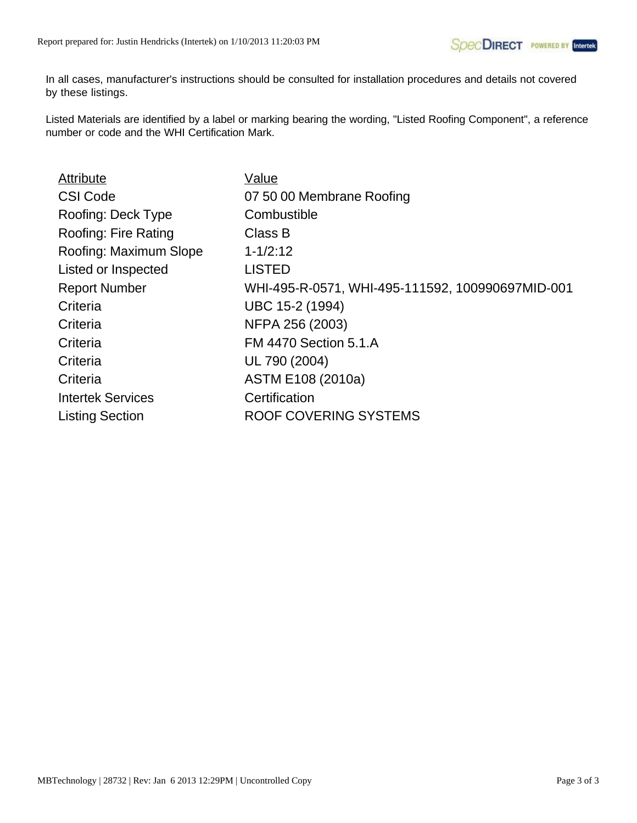In all cases, manufacturer's instructions should be consulted for installation procedures and details not covered by these listings.

| Value                                            |
|--------------------------------------------------|
| 07 50 00 Membrane Roofing                        |
| Combustible                                      |
| Class B                                          |
| $1 - 1/2:12$                                     |
| <b>LISTED</b>                                    |
| WHI-495-R-0571, WHI-495-111592, 100990697MID-001 |
| UBC 15-2 (1994)                                  |
| NFPA 256 (2003)                                  |
| <b>FM 4470 Section 5.1.A</b>                     |
| UL 790 (2004)                                    |
| ASTM E108 (2010a)                                |
| Certification                                    |
| <b>ROOF COVERING SYSTEMS</b>                     |
|                                                  |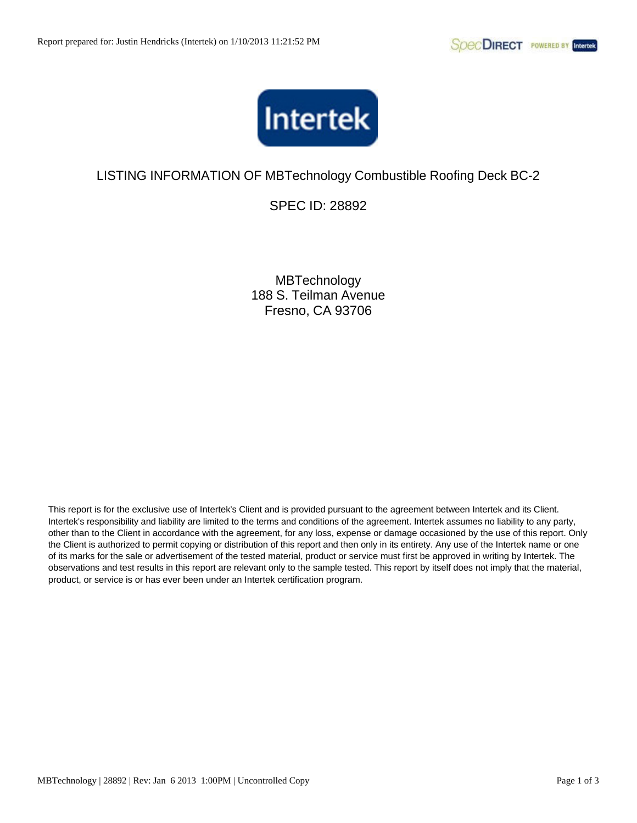

SPEC ID: 28892

**MBTechnology** 188 S. Teilman Avenue Fresno, CA 93706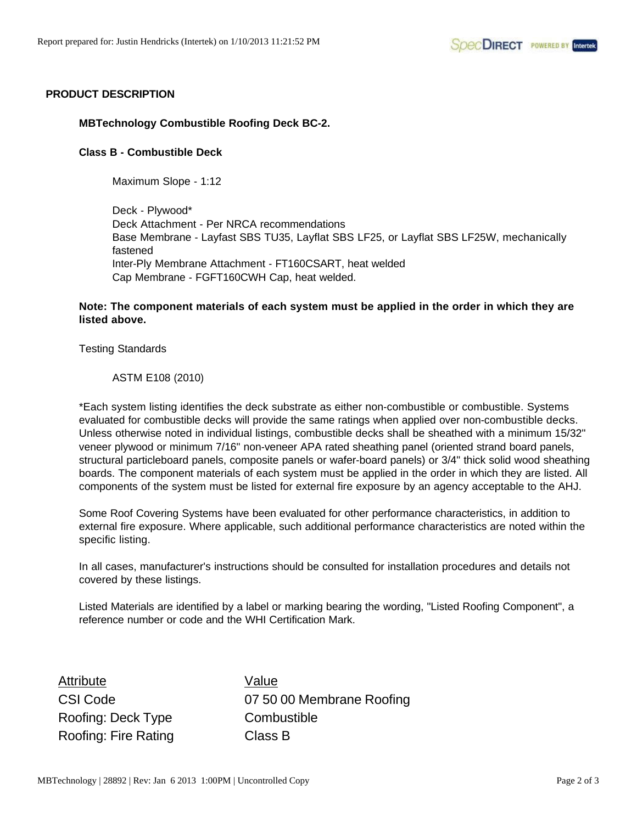## **PRODUCT DESCRIPTION**

### **MBTechnology Combustible Roofing Deck BC-2.**

#### **Class B - Combustible Deck**

Maximum Slope - 1:12

Deck - Plywood\* Deck Attachment - Per NRCA recommendations Base Membrane - Layfast SBS TU35, Layflat SBS LF25, or Layflat SBS LF25W, mechanically fastened Inter-Ply Membrane Attachment - FT160CSART, heat welded Cap Membrane - FGFT160CWH Cap, heat welded.

### **Note: The component materials of each system must be applied in the order in which they are listed above.**

Testing Standards

ASTM E108 (2010)

\*Each system listing identifies the deck substrate as either non-combustible or combustible. Systems evaluated for combustible decks will provide the same ratings when applied over non-combustible decks. Unless otherwise noted in individual listings, combustible decks shall be sheathed with a minimum 15/32" veneer plywood or minimum 7/16" non-veneer APA rated sheathing panel (oriented strand board panels, structural particleboard panels, composite panels or wafer-board panels) or 3/4" thick solid wood sheathing boards. The component materials of each system must be applied in the order in which they are listed. All components of the system must be listed for external fire exposure by an agency acceptable to the AHJ.

Some Roof Covering Systems have been evaluated for other performance characteristics, in addition to external fire exposure. Where applicable, such additional performance characteristics are noted within the specific listing.

In all cases, manufacturer's instructions should be consulted for installation procedures and details not covered by these listings.

Listed Materials are identified by a label or marking bearing the wording, "Listed Roofing Component", a reference number or code and the WHI Certification Mark.

Attribute Value Roofing: Deck Type **Combustible** Roofing: Fire Rating Class B

CSI Code 07 50 00 Membrane Roofing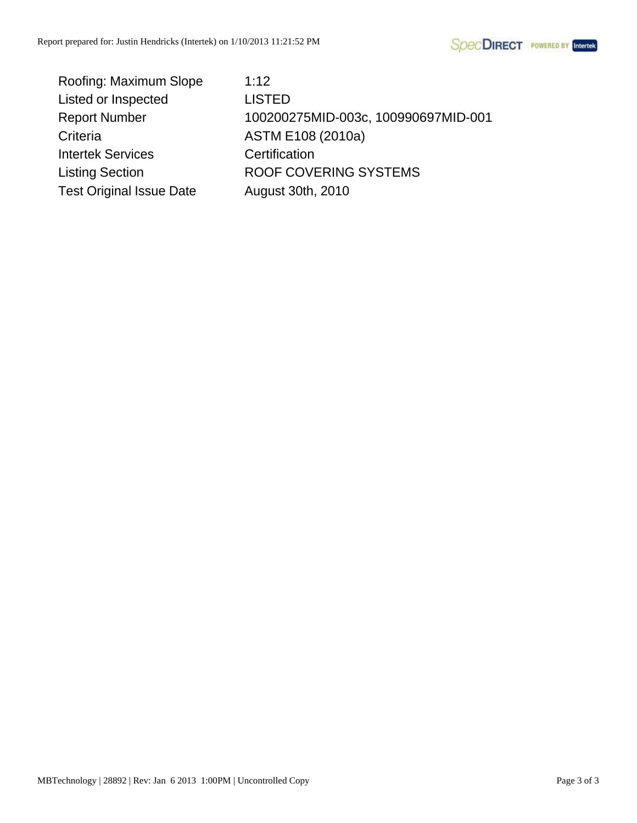

| Roofing: Maximum Slope          | 1:12                                |
|---------------------------------|-------------------------------------|
| Listed or Inspected             | <b>LISTED</b>                       |
| <b>Report Number</b>            | 100200275MID-003c, 100990697MID-001 |
| Criteria                        | ASTM E108 (2010a)                   |
| <b>Intertek Services</b>        | Certification                       |
| <b>Listing Section</b>          | ROOF COVERING SYSTEMS               |
| <b>Test Original Issue Date</b> | August 30th, 2010                   |
|                                 |                                     |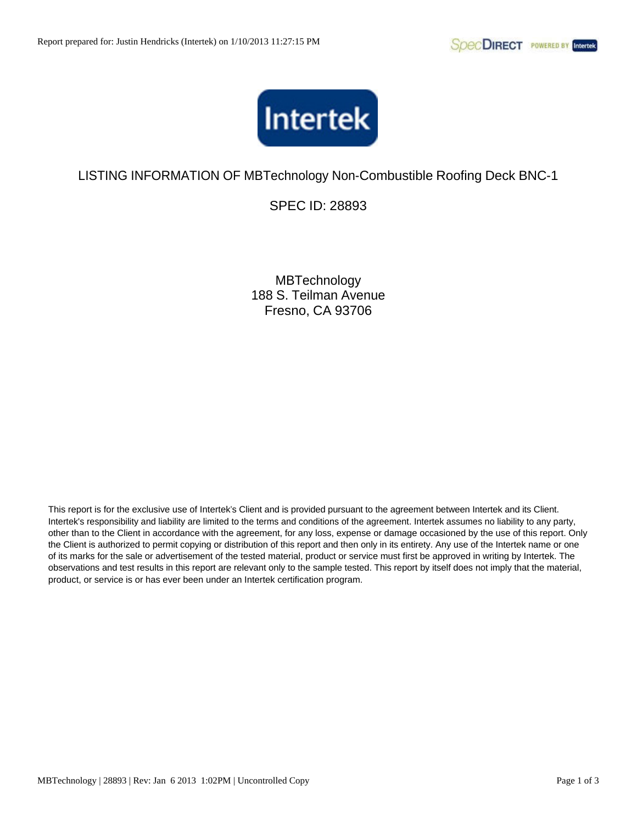

SPEC ID: 28893

**MBTechnology** 188 S. Teilman Avenue Fresno, CA 93706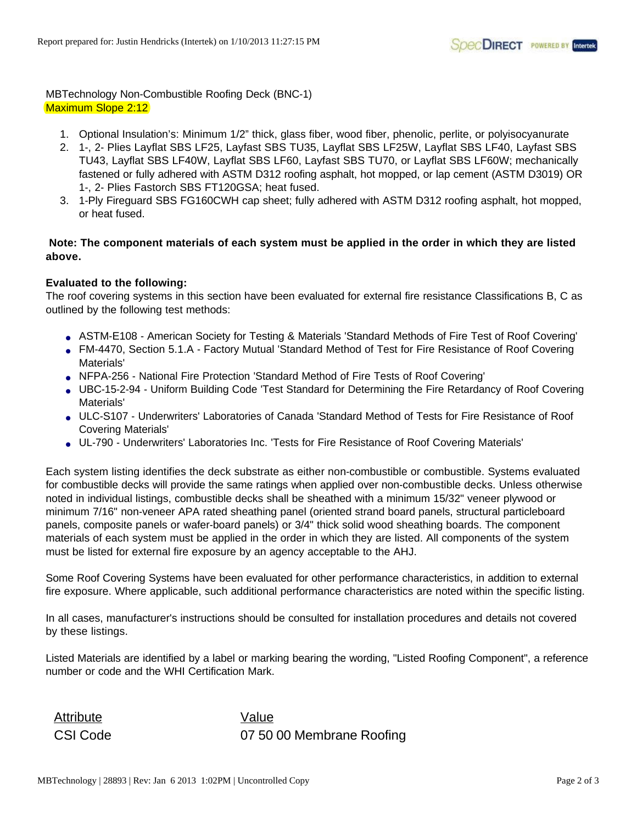MBTechnology Non-Combustible Roofing Deck (BNC-1) Maximum Slope 2:12

- 1. Optional Insulation's: Minimum 1/2" thick, glass fiber, wood fiber, phenolic, perlite, or polyisocyanurate
- 2. 1-, 2- Plies Layflat SBS LF25, Layfast SBS TU35, Layflat SBS LF25W, Layflat SBS LF40, Layfast SBS TU43, Layflat SBS LF40W, Layflat SBS LF60, Layfast SBS TU70, or Layflat SBS LF60W; mechanically fastened or fully adhered with ASTM D312 roofing asphalt, hot mopped, or lap cement (ASTM D3019) OR 1-, 2- Plies Fastorch SBS FT120GSA; heat fused.
- 3. 1-Ply Fireguard SBS FG160CWH cap sheet; fully adhered with ASTM D312 roofing asphalt, hot mopped, or heat fused.

## **Note: The component materials of each system must be applied in the order in which they are listed above.**

## **Evaluated to the following:**

The roof covering systems in this section have been evaluated for external fire resistance Classifications B, C as outlined by the following test methods:

- ASTM-E108 American Society for Testing & Materials 'Standard Methods of Fire Test of Roof Covering'
- FM-4470, Section 5.1.A Factory Mutual 'Standard Method of Test for Fire Resistance of Roof Covering Materials'
- NFPA-256 National Fire Protection 'Standard Method of Fire Tests of Roof Covering'
- UBC-15-2-94 Uniform Building Code 'Test Standard for Determining the Fire Retardancy of Roof Covering Materials'
- ULC-S107 Underwriters' Laboratories of Canada 'Standard Method of Tests for Fire Resistance of Roof Covering Materials'
- UL-790 Underwriters' Laboratories Inc. 'Tests for Fire Resistance of Roof Covering Materials'

Each system listing identifies the deck substrate as either non-combustible or combustible. Systems evaluated for combustible decks will provide the same ratings when applied over non-combustible decks. Unless otherwise noted in individual listings, combustible decks shall be sheathed with a minimum 15/32" veneer plywood or minimum 7/16" non-veneer APA rated sheathing panel (oriented strand board panels, structural particleboard panels, composite panels or wafer-board panels) or 3/4" thick solid wood sheathing boards. The component materials of each system must be applied in the order in which they are listed. All components of the system must be listed for external fire exposure by an agency acceptable to the AHJ.

Some Roof Covering Systems have been evaluated for other performance characteristics, in addition to external fire exposure. Where applicable, such additional performance characteristics are noted within the specific listing.

In all cases, manufacturer's instructions should be consulted for installation procedures and details not covered by these listings.

Listed Materials are identified by a label or marking bearing the wording, "Listed Roofing Component", a reference number or code and the WHI Certification Mark.

Attribute Value

CSI Code 07 50 00 Membrane Roofing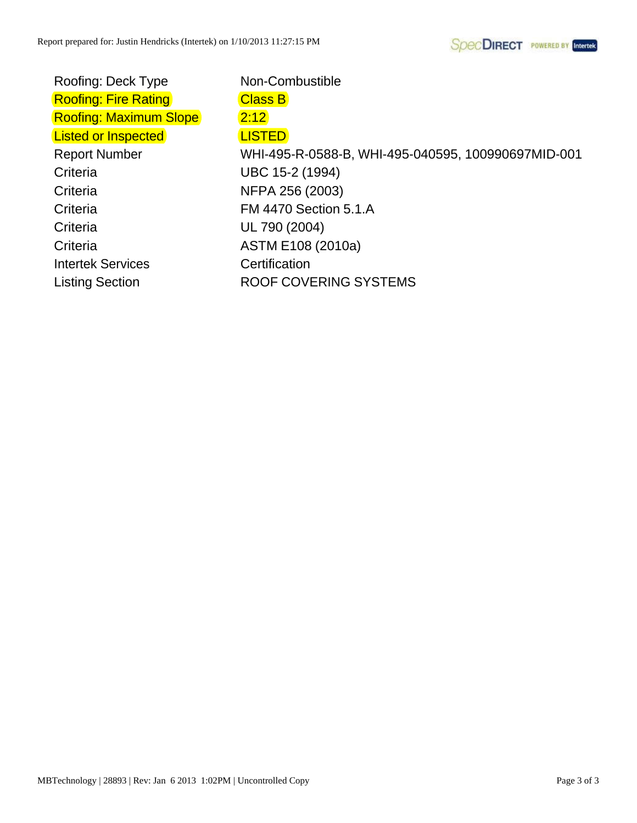Roofing: Deck Type Non-Combustible Roofing: Fire Rating **Class B** Roofing: Maximum Slope 2:12 Listed or Inspected **LISTED** Criteria UBC 15-2 (1994) Criteria NFPA 256 (2003) Criteria FM 4470 Section 5.1.A Criteria UL 790 (2004) Criteria ASTM E108 (2010a) Intertek Services Certification

Report Number WHI-495-R-0588-B, WHI-495-040595, 100990697MID-001 Listing Section ROOF COVERING SYSTEMS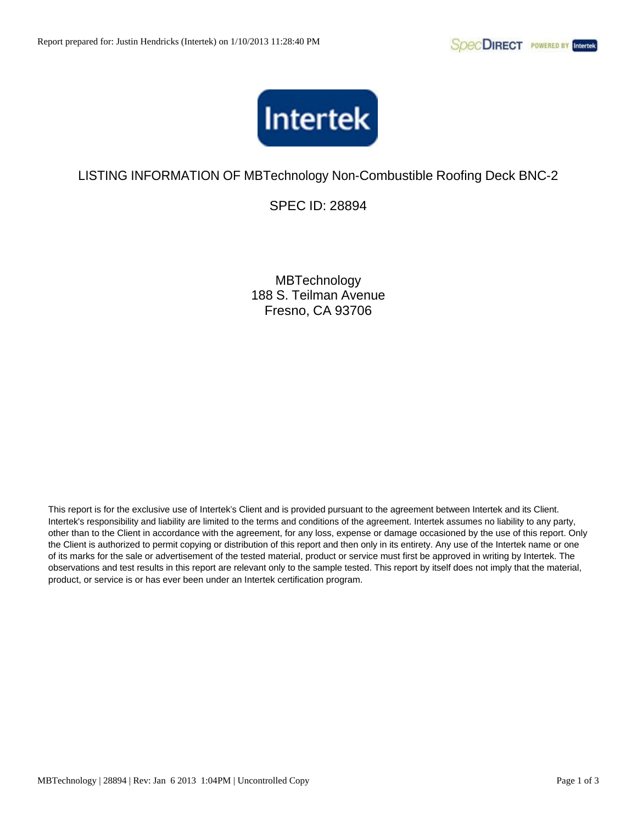

SPEC ID: 28894

**MBTechnology** 188 S. Teilman Avenue Fresno, CA 93706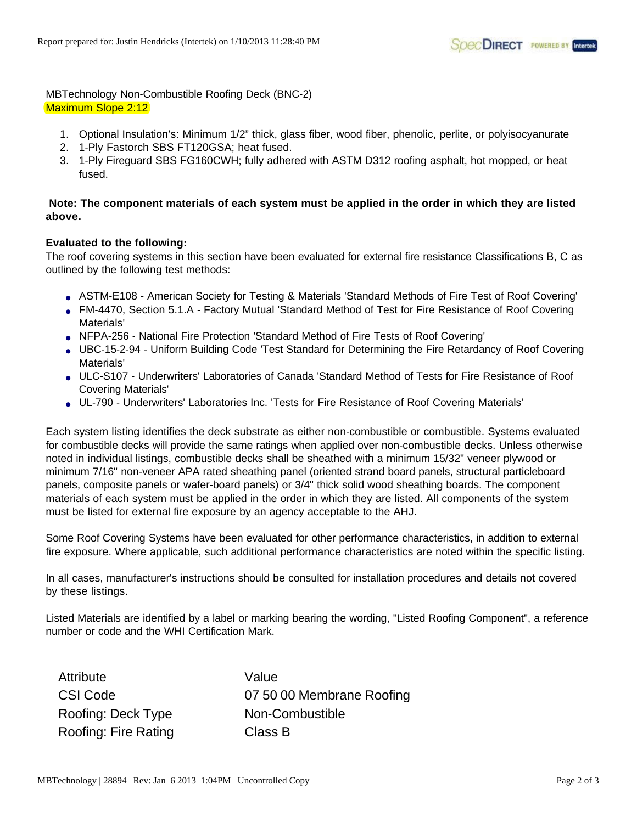MBTechnology Non-Combustible Roofing Deck (BNC-2) Maximum Slope 2:12

- 1. Optional Insulation's: Minimum 1/2" thick, glass fiber, wood fiber, phenolic, perlite, or polyisocyanurate
- 2. 1-Ply Fastorch SBS FT120GSA; heat fused.
- 3. 1-Ply Fireguard SBS FG160CWH; fully adhered with ASTM D312 roofing asphalt, hot mopped, or heat fused.

## **Note: The component materials of each system must be applied in the order in which they are listed above.**

### **Evaluated to the following:**

The roof covering systems in this section have been evaluated for external fire resistance Classifications B, C as outlined by the following test methods:

- ASTM-E108 American Society for Testing & Materials 'Standard Methods of Fire Test of Roof Covering'
- FM-4470, Section 5.1.A Factory Mutual 'Standard Method of Test for Fire Resistance of Roof Covering Materials'
- NFPA-256 National Fire Protection 'Standard Method of Fire Tests of Roof Covering'
- UBC-15-2-94 Uniform Building Code 'Test Standard for Determining the Fire Retardancy of Roof Covering Materials'
- ULC-S107 Underwriters' Laboratories of Canada 'Standard Method of Tests for Fire Resistance of Roof Covering Materials'
- UL-790 Underwriters' Laboratories Inc. 'Tests for Fire Resistance of Roof Covering Materials'

Each system listing identifies the deck substrate as either non-combustible or combustible. Systems evaluated for combustible decks will provide the same ratings when applied over non-combustible decks. Unless otherwise noted in individual listings, combustible decks shall be sheathed with a minimum 15/32" veneer plywood or minimum 7/16" non-veneer APA rated sheathing panel (oriented strand board panels, structural particleboard panels, composite panels or wafer-board panels) or 3/4" thick solid wood sheathing boards. The component materials of each system must be applied in the order in which they are listed. All components of the system must be listed for external fire exposure by an agency acceptable to the AHJ.

Some Roof Covering Systems have been evaluated for other performance characteristics, in addition to external fire exposure. Where applicable, such additional performance characteristics are noted within the specific listing.

In all cases, manufacturer's instructions should be consulted for installation procedures and details not covered by these listings.

Listed Materials are identified by a label or marking bearing the wording, "Listed Roofing Component", a reference number or code and the WHI Certification Mark.

Attribute Value Roofing: Deck Type Non-Combustible Roofing: Fire Rating Class B

CSI Code 07 50 00 Membrane Roofing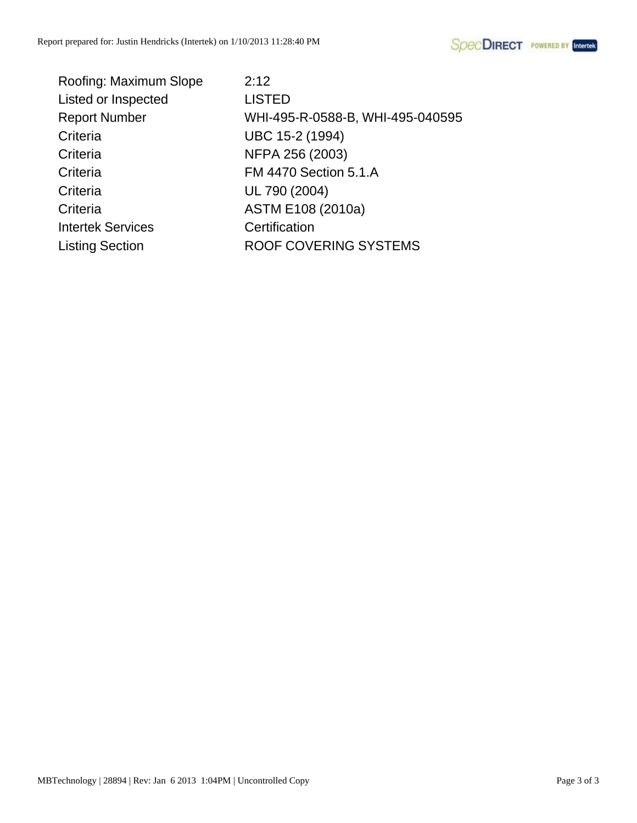

| Roofing: Maximum Slope   | 2:12                             |
|--------------------------|----------------------------------|
| Listed or Inspected      | <b>LISTED</b>                    |
| <b>Report Number</b>     | WHI-495-R-0588-B, WHI-495-040595 |
| Criteria                 | UBC 15-2 (1994)                  |
| Criteria                 | NFPA 256 (2003)                  |
| Criteria                 | <b>FM 4470 Section 5.1.A</b>     |
| Criteria                 | UL 790 (2004)                    |
| Criteria                 | ASTM E108 (2010a)                |
| <b>Intertek Services</b> | Certification                    |
| <b>Listing Section</b>   | ROOF COVERING SYSTEMS            |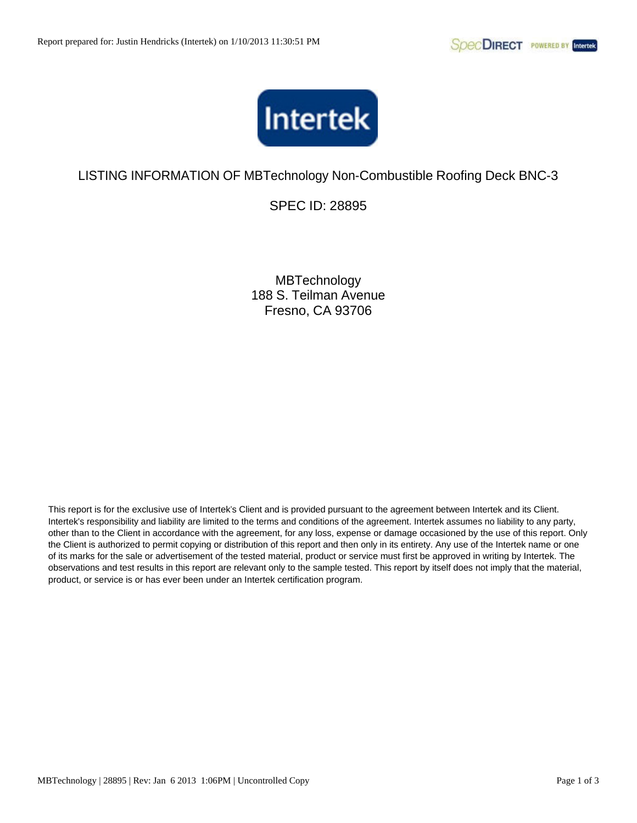

SPEC ID: 28895

**MBTechnology** 188 S. Teilman Avenue Fresno, CA 93706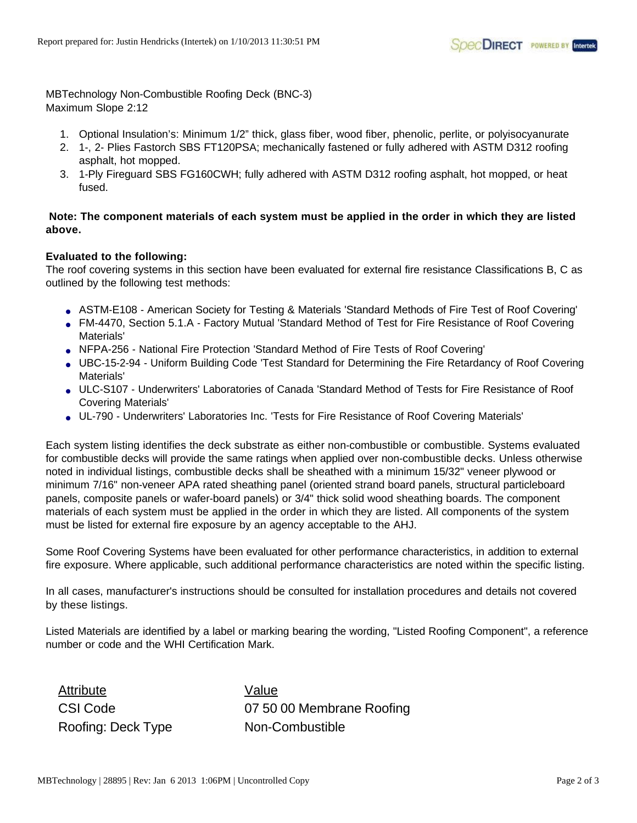MBTechnology Non-Combustible Roofing Deck (BNC-3) Maximum Slope 2:12

- 1. Optional Insulation's: Minimum 1/2" thick, glass fiber, wood fiber, phenolic, perlite, or polyisocyanurate
- 2. 1-, 2- Plies Fastorch SBS FT120PSA; mechanically fastened or fully adhered with ASTM D312 roofing asphalt, hot mopped.
- 3. 1-Ply Fireguard SBS FG160CWH; fully adhered with ASTM D312 roofing asphalt, hot mopped, or heat fused.

## **Note: The component materials of each system must be applied in the order in which they are listed above.**

## **Evaluated to the following:**

The roof covering systems in this section have been evaluated for external fire resistance Classifications B, C as outlined by the following test methods:

- ASTM-E108 American Society for Testing & Materials 'Standard Methods of Fire Test of Roof Covering'
- FM-4470, Section 5.1.A Factory Mutual 'Standard Method of Test for Fire Resistance of Roof Covering Materials'
- NFPA-256 National Fire Protection 'Standard Method of Fire Tests of Roof Covering'
- UBC-15-2-94 Uniform Building Code 'Test Standard for Determining the Fire Retardancy of Roof Covering Materials'
- ULC-S107 Underwriters' Laboratories of Canada 'Standard Method of Tests for Fire Resistance of Roof Covering Materials'
- UL-790 Underwriters' Laboratories Inc. 'Tests for Fire Resistance of Roof Covering Materials'

Each system listing identifies the deck substrate as either non-combustible or combustible. Systems evaluated for combustible decks will provide the same ratings when applied over non-combustible decks. Unless otherwise noted in individual listings, combustible decks shall be sheathed with a minimum 15/32" veneer plywood or minimum 7/16" non-veneer APA rated sheathing panel (oriented strand board panels, structural particleboard panels, composite panels or wafer-board panels) or 3/4" thick solid wood sheathing boards. The component materials of each system must be applied in the order in which they are listed. All components of the system must be listed for external fire exposure by an agency acceptable to the AHJ.

Some Roof Covering Systems have been evaluated for other performance characteristics, in addition to external fire exposure. Where applicable, such additional performance characteristics are noted within the specific listing.

In all cases, manufacturer's instructions should be consulted for installation procedures and details not covered by these listings.

Listed Materials are identified by a label or marking bearing the wording, "Listed Roofing Component", a reference number or code and the WHI Certification Mark.

Attribute Value Roofing: Deck Type Non-Combustible

CSI Code 07 50 00 Membrane Roofing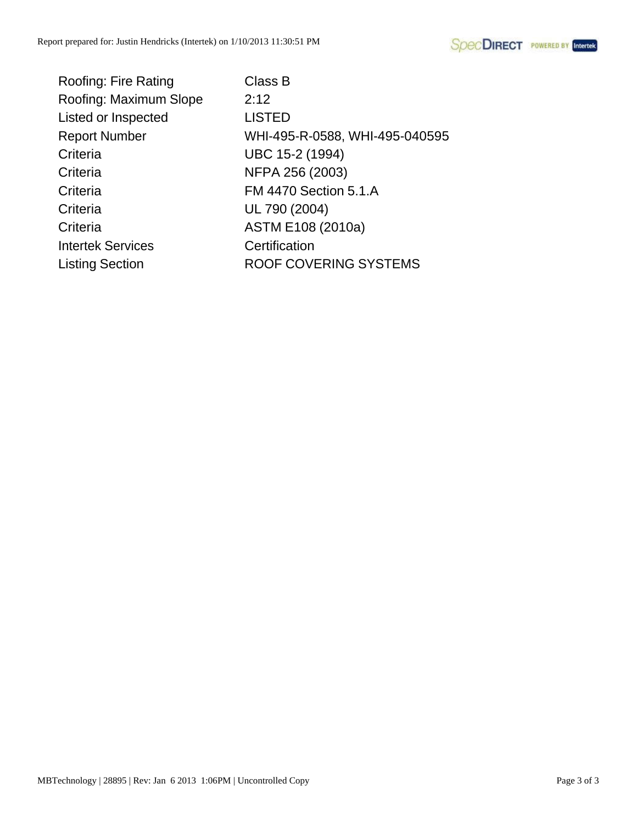| Roofing: Fire Rating     | Class B                        |
|--------------------------|--------------------------------|
| Roofing: Maximum Slope   | 2:12                           |
| Listed or Inspected      | <b>LISTED</b>                  |
| <b>Report Number</b>     | WHI-495-R-0588, WHI-495-040595 |
| Criteria                 | UBC 15-2 (1994)                |
| Criteria                 | NFPA 256 (2003)                |
| Criteria                 | <b>FM 4470 Section 5.1.A</b>   |
| Criteria                 | UL 790 (2004)                  |
| Criteria                 | ASTM E108 (2010a)              |
| <b>Intertek Services</b> | Certification                  |
| <b>Listing Section</b>   | ROOF COVERING SYSTEMS          |
|                          |                                |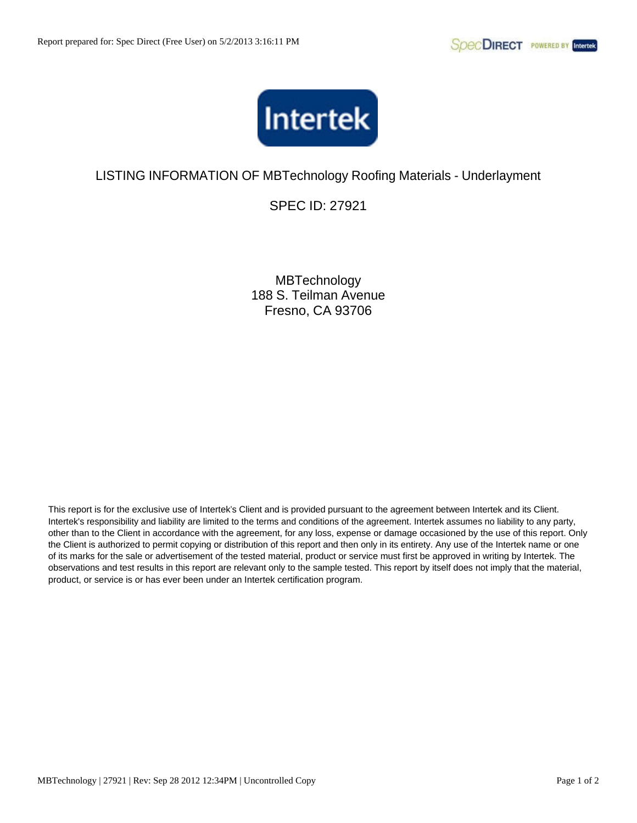

# LISTING INFORMATION OF MBTechnology Roofing Materials - Underlayment

SPEC ID: 27921

**MBTechnology** 188 S. Teilman Avenue Fresno, CA 93706